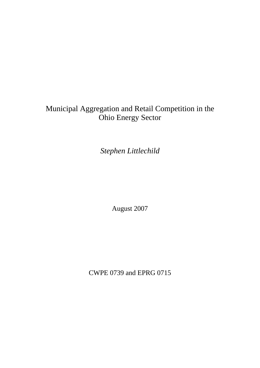# Municipal Aggregation and Retail Competition in the Ohio Energy Sector

*Stephen Littlechild* 

August 2007

CWPE 0739 and EPRG 0715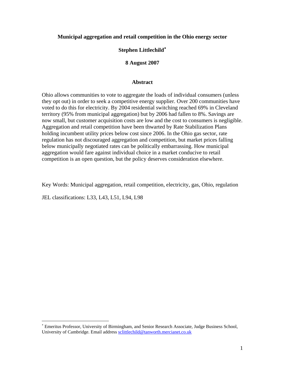## **Municipal aggregation and retail competition in the Ohio energy sector**

## **Stephen Littlechild**[∗](#page-1-0)

#### **8 August 2007**

#### **Abstract**

Ohio allows communities to vote to aggregate the loads of individual consumers (unless they opt out) in order to seek a competitive energy supplier. Over 200 communities have voted to do this for electricity. By 2004 residential switching reached 69% in Cleveland territory (95% from municipal aggregation) but by 2006 had fallen to 8%. Savings are now small, but customer acquisition costs are low and the cost to consumers is negligible. Aggregation and retail competition have been thwarted by Rate Stabilization Plans holding incumbent utility prices below cost since 2006. In the Ohio gas sector, rate regulation has not discouraged aggregation and competition, but market prices falling below municipally negotiated rates can be politically embarrassing. How municipal aggregation would fare against individual choice in a market conducive to retail competition is an open question, but the policy deserves consideration elsewhere.

Key Words: Municipal aggregation, retail competition, electricity, gas, Ohio, regulation

JEL classifications: L33, L43, L51, L94, L98

<span id="page-1-0"></span><sup>∗</sup> Emeritus Professor, University of Birmingham, and Senior Research Associate, Judge Business School, University of Cambridge. Email address [sclittlechild@tanworth.mercianet.co.uk](mailto:sclittlechild@tanworth.mercianet.co.uk)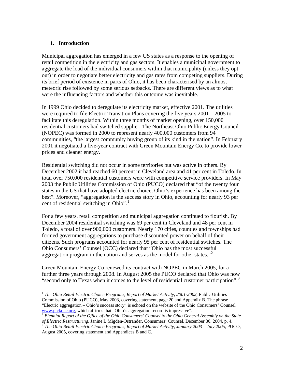## **1. Introduction**

 $\overline{a}$ 

Municipal aggregation has emerged in a few US states as a response to the opening of retail competition in the electricity and gas sectors. It enables a municipal government to aggregate the load of the individual consumers within that municipality (unless they opt out) in order to negotiate better electricity and gas rates from competing suppliers. During its brief period of existence in parts of Ohio, it has been characterised by an almost meteoric rise followed by some serious setbacks. There are different views as to what were the influencing factors and whether this outcome was inevitable.

In 1999 Ohio decided to deregulate its electricity market, effective 2001. The utilities were required to file Electric Transition Plans covering the five years 2001 – 2005 to facilitate this deregulation. Within three months of market opening, over 150,000 residential customers had switched supplier. The Northeast Ohio Public Energy Council (NOPEC) was formed in 2000 to represent nearly 400,000 customers from 94 communities, "the largest community buying group of its kind in the nation". In February 2001 it negotiated a five-year contract with Green Mountain Energy Co. to provide lower prices and cleaner energy.

Residential switching did not occur in some territories but was active in others. By December 2002 it had reached 60 percent in Cleveland area and 41 per cent in Toledo. In total over 750,000 residential customers were with competitive service providers. In May 2003 the Public Utilities Commission of Ohio (PUCO) declared that "of the twenty four states in the US that have adopted electric choice, Ohio's experience has been among the best". Moreover, "aggregation is the success story in Ohio, accounting for nearly 93 per cent of residential switching in Ohio".

For a few years, retail competition and municipal aggregation continued to flourish. By December 2004 residential switching was 69 per cent in Cleveland and 48 per cent in Toledo, a total of over 900,000 customers. Nearly 170 cities, counties and townships had formed government aggregations to purchase discounted power on behalf of their citizens. Such programs accounted for nearly 95 per cent of residential switches. The Ohio Consumers' Counsel (OCC) declared that "Ohio has the most successful aggregation program in the nation and serves as the model for other states."<sup>[2](#page-2-1)</sup>

Green Mountain Energy Co renewed its contract with NOPEC in March 2005, for a further three years through 2008. In August 2005 the PUCO declared that Ohio was now "second only to Texas when it comes to the level of residential customer participation".<sup>[3](#page-2-2)</sup>

<span id="page-2-0"></span><sup>1</sup> *The Ohio Retail Electric Choice Programs, Report of Market Activity, 2001-2002*, Public Utilities Commission of Ohio (PUCO), May 2003, covering statement, page 20 and Appendix B. The phrase "Electric aggregation – Ohio's success story" is echoed on the website of the Ohio Consumers' Counsel

<span id="page-2-1"></span>[www.pickocc.org](http://www.pickocc.org/), which affirms that "Ohio's aggregation record is impressive".<br><sup>[2](http://www.pickocc.org/)</sup> *Biennial Report of the Office of the Ohio Consumers' Counsel to the Ohio General Assembly on the State of Electric Restructuring, Janine L* 

<span id="page-2-2"></span>*of Electric Restructuring*, Janine L Migden-Ostrander, Consumers' Counsel, December 30, 2004, p. 4. 3 *The Ohio Retail Electric Choice Programs, Report of Market Activity, January 2003 – July 2005*, PUCO, August 2005, covering statement and Appendices B and C.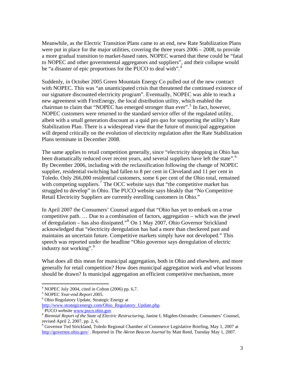Meanwhile, as the Electric Transition Plans came to an end, new Rate Stabilization Plans were put in place for the major utilities, covering the three years 2006 – 2008, to provide a more gradual transition to market-based rates. NOPEC warned that these could be "fatal to NOPEC and other governmental aggregators and suppliers", and their collapse would be "a disaster of epic proportions for the PUCO to deal with".<sup>[4](#page-3-0)</sup>

Suddenly, in October 2005 Green Mountain Energy Co pulled out of the new contract with NOPEC. This was "an unanticipated crisis that threatened the continued existence of our signature discounted electricity program". Eventually, NOPEC was able to reach a new agreement with FirstEnergy, the local distribution utility, which enabled the chairman to claim that "NOPEC has emerged stronger than ever".<sup>[5](#page-3-1)</sup> In fact, however, NOPEC customers were returned to the standard service offer of the regulated utility, albeit with a small generation discount as a quid pro quo for supporting the utility's Rate Stabilization Plan. There is a widespread view that the future of municipal aggregation will depend critically on the evolution of electricity regulation after the Rate Stabilization Plans terminate in December 2008.

The same applies to retail competition generally, since "electricity shopping in Ohio has been dramatically reduced over recent years, and several suppliers have left the state".<sup>[6](#page-3-2)</sup> By December 2006, including with the reclassification following the change of NOPEC supplier, residential switching had fallen to 8 per cent in Cleveland and 11 per cent in Toledo. Only 266,000 residential customers, some 6 per cent of the Ohio total, remained with competing suppliers.<sup>[7](#page-3-3)</sup> The OCC website says that "the competitive market has struggled to develop" in Ohio. The PUCO website says bleakly that "No Competitive Retail Electricity Suppliers are currently enrolling customers in Ohio."

In April 2007 the Consumers' Counsel argued that "Ohio has yet to embark on a true competitive path. … Due to a combination of factors, aggregation – which was the jewel of deregulation – has also dissipated."[8](#page-3-4) On 1 May 2007, Ohio Governor Strickland acknowledged that "electricity deregulation has had a more than checkered past and maintains an uncertain future. Competitive markets simply have not developed." This speech was reported under the headline "Ohio governor says deregulation of electric industry not working". $\frac{9}{2}$  $\frac{9}{2}$  $\frac{9}{2}$ 

What does all this mean for municipal aggregation, both in Ohio and elsewhere, and more generally for retail competition? How does municipal aggregation work and what lessons should be drawn? Is municipal aggregation an efficient competitive mechanism, more

<span id="page-3-0"></span> $4$  NOPEC July 2004, cited in Colton (2006) pp. 6,7.

<span id="page-3-1"></span><sup>&</sup>lt;sup>5</sup> NOPEC *Year-end Report 2005*.

<span id="page-3-2"></span>Ohio Regulatory Update, Strategic Energy at

 $\frac{http://www.strategicenergy.com/Ohio-Regulatory_Update.php. 7}$  $\frac{http://www.strategicenergy.com/Ohio-Regulatory_Update.php. 7}$  $\frac{http://www.strategicenergy.com/Ohio-Regulatory_Update.php. 7}$  PUCO website www.puco.ohio.gov

<span id="page-3-4"></span><span id="page-3-3"></span><sup>&</sup>lt;sup>8</sup> Biennial Report of the State of Electric Restructuring, Janine L Migden-Ostrander, Consumers' Counsel, revised April 2, 2007, pp. 2, 6.

<span id="page-3-5"></span><sup>&</sup>lt;sup>9</sup> Governor Ted Strickland, Toledo Regional Chamber of Commerce Legislative Briefing, May 1, 2007 at <http://governor.ohio.gov/>. Reported in *The Akron Beacon Journal* by Matt Reed, Tuesday May 1, 2007.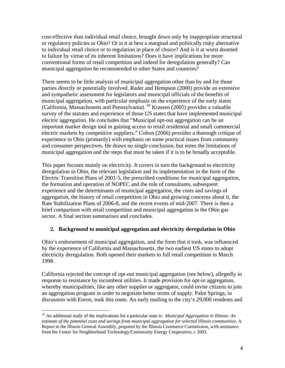cost-effective than individual retail choice, brought down only by inappropriate structural or regulatory policies in Ohio? Or is it at best a marginal and politically risky alternative to individual retail choice or to regulation in place of choice? And is it at worst doomed to failure by virtue of its inherent limitations? Does it have implications for more conventional forms of retail competition and indeed for deregulation generally? Can municipal aggregation be recommended to other States and countries?

There seems to be little analysis of municipal aggregation other than by and for those parties directly or potentially involved. Rader and Hempson (2000) provide an extensive and sympathetic assessment for legislators and municipal officials of the benefits of municipal aggregation, with particular emphasis on the experience of the early states (California, Massachusetts and Pennsylvania). [10](#page-4-0) Krassen (2005) provides a valuable survey of the statutes and experience of those US states that have implemented municipal electric aggregation. He concludes that "Municipal opt-out aggregation can be an important market design tool in gaining access to retail residential and small commercial electric markets by competitive suppliers." Colton (2006) provides a thorough critique of experience in Ohio (primarily) with emphasis on some practical issues from community and consumer perspectives. He draws no single conclusion, but notes the limitations of municipal aggregation and the steps that must be taken if it is to be broadly acceptable.

This paper focuses mainly on electricity. It covers in turn the background to electricity deregulation in Ohio, the relevant legislation and its implementation in the form of the Electric Transition Plans of 2001-5, the prescribed conditions for municipal aggregation, the formation and operation of NOPEC and the role of consultants, subsequent experience and the determinants of municipal aggregation, the costs and savings of aggregation, the history of retail competition in Ohio and growing concerns about it, the Rate Stabilization Plans of 2006-8, and the recent events of mid-2007. There is then a brief comparison with retail competition and municipal aggregation in the Ohio gas sector. A final section summarises and concludes.

# **2. Background to municipal aggregation and electricity deregulation in Ohio**

Ohio's endorsement of municipal aggregation, and the form that it took, was influenced by the experience of California and Massachusetts, the two earliest US states to adopt electricity deregulation. Both opened their markets to full retail competition in March 1998.

California rejected the concept of opt-out municipal aggregation (see below), allegedly in response to resistance by incumbent utilities. It made provision for opt-in aggregation, whereby municipalities, like any other supplier or aggregator, could invite citizens to join an aggregation program in order to negotiate better terms of supply. Palm Springs, in discussion with Enron, took this route. An early mailing to the city's 29,000 residents and

<span id="page-4-0"></span><sup>10</sup> An additional study of the implications for a particular state is: *Municipal Aggregation in Illinois: An estimate of the potential costs and savings from municipal aggregation for selected Illinois communities*. A Report to the Illinois General Assembly, prepared by the Illinois Commerce Commission, with assistance from the Center for Neighborhood Technology/Community Energy Cooperative, c 2003.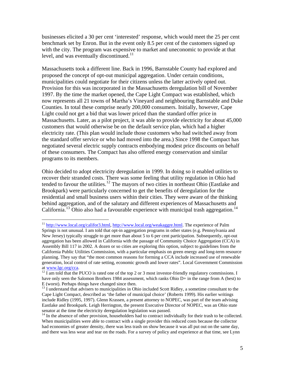businesses elicited a 30 per cent 'interested' response, which would meet the 25 per cent benchmark set by Enron. But in the event only 8.5 per cent of the customers signed up with the city. The program was expensive to market and uneconomic to provide at that level, and was eventually discontinued.<sup>[11](#page-5-0)</sup>

Massachusetts took a different line. Back in 1996, Barnstable County had explored and proposed the concept of opt-out municipal aggregation. Under certain conditions, municipalities could negotiate for their citizens unless the latter actively opted out. Provision for this was incorporated in the Massachusetts deregulation bill of November 1997. By the time the market opened, the Cape Light Compact was established, which now represents all 21 towns of Martha's Vineyard and neighbouring Barnstable and Duke Counties. In total these comprise nearly 200,000 consumers. Initially, however, Cape Light could not get a bid that was lower priced than the standard offer price in Massachusetts. Later, as a pilot project, it was able to provide electricity for about 45,000 customers that would otherwise be on the default service plan, which had a higher electricity rate. (This plan would include those customers who had switched away from the standard offer service or who had moved into the area.) Since 1998 the Compact has negotiated several electric supply contracts embodying modest price discounts on behalf of these consumers. The Compact has also offered energy conservation and similar programs to its members.

Ohio decided to adopt electricity deregulation in 1999. In doing so it enabled utilities to recover their stranded costs. There was some feeling that utility regulation in Ohio had tended to favour the utilities.<sup>[12](#page-5-1)</sup> The mayors of two cities in northeast Ohio (Eastlake and Brookpark) were particularly concerned to get the benefits of deregulation for the residential and small business users within their cities. They were aware of the thinking behind aggregation, and of the salutary and different experiences of Massachusetts and California.<sup>[13](#page-5-2)</sup> Ohio also had a favourable experience with municipal trash aggregation.<sup>[14](#page-5-3)</sup>

1

<span id="page-5-0"></span><sup>&</sup>lt;sup>11</sup> [http://www.local.org/califor3.html,](http://www.local.org/califor3.html) <http://www.local.org/weakaggre.html>. The experience of Palm Springs is not unusual. I am told that opt-in aggregation programs in other states (e.g. Pennsylvania and New Jersey) typically struggle to get more than about 5 to 6 per cent participation. Subsequently, opt-out aggregation has been allowed in California with the passage of Community Choice Aggregation (CCA) in Assembly Bill 117 in 2002. A dozen or so cities are exploring this option, subject to guidelines from the California Public Utilities Commission, with a particular emphasis on green energy and long-term resource planning. They say that "the most common reasons for forming a CCA include increased use of renewable generation, local control of rate setting, economic growth and lower rates". Local Government Commission at **www.lgc.org/cca**.

<span id="page-5-1"></span> $12$  I am told that the PUCO is rated one of the top 2 or 3 most investor-friendly regulatory commissions. I have only seen the Salomon Brothers 1984 assessment, which ranks Ohio D+ in the range from A (best) to E (worst). Perhaps things have changed since then.

<span id="page-5-2"></span><sup>&</sup>lt;sup>13</sup> I understand that advisers to municipalities in Ohio included Scott Ridley, a sometime consultant to the Cape Light Compact, described as 'the father of municipal choice' (Roberts 1999). His earlier writings include Ridley (1995, 1997). Glenn Krassen, a present attorney to NOPEC, was part of the team advising Eastlake and Brookpark. Leigh Herrington, the present Executive Director of NOPEC, was an Ohio state senator at the time the electricity deregulation legislation was passed.<br><sup>14</sup> In the absence of other provision, householders had to contract individually for their trash to be collected.

<span id="page-5-3"></span>When municipalities were able to contract with a single provider this reduced costs because the collector had economies of greater density, there was less trash on show because it was all put out on the same day, and there was less wear and tear on the roads. For a survey of policy and experience at that time, see Lynn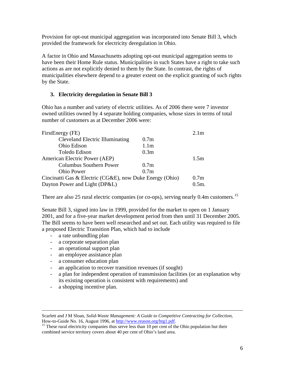Provision for opt-out municipal aggregation was incorporated into Senate Bill 3, which provided the framework for electricity deregulation in Ohio.

A factor in Ohio and Massachusetts adopting opt-out municipal aggregation seems to have been their Home Rule status. Municipalities in such States have a right to take such actions as are not explicitly denied to them by the State. In contrast, the rights of municipalities elsewhere depend to a greater extent on the explicit granting of such rights by the State.

## **3. Electricity deregulation in Senate Bill 3**

Ohio has a number and variety of electric utilities. As of 2006 there were 7 investor owned utilities owned by 4 separate holding companies, whose sizes in terms of total number of customers as at December 2006 were:

| FirstEnergy (FE)                                         |                  | 2.1 <sub>m</sub> |
|----------------------------------------------------------|------------------|------------------|
| <b>Cleveland Electric Illuminating</b>                   | 0.7 <sub>m</sub> |                  |
| Ohio Edison                                              | 1.1 <sub>m</sub> |                  |
| Toledo Edison                                            | 0.3 <sub>m</sub> |                  |
| American Electric Power (AEP)                            |                  | 1.5m             |
| <b>Columbus Southern Power</b>                           | 0.7 <sub>m</sub> |                  |
| <b>Ohio Power</b>                                        | 0.7 <sub>m</sub> |                  |
| Cincinatti Gas & Electric (CG&E), now Duke Energy (Ohio) |                  | 0.7 <sub>m</sub> |
| Dayton Power and Light (DP&L)                            |                  | $0.5m$ .         |

There are also 25 rural electric companies (or co-ops), serving nearly 0.4m customers.<sup>[15](#page-6-0)</sup>

Senate Bill 3, signed into law in 1999, provided for the market to open on 1 January 2001, and for a five-year market development period from then until 31 December 2005. The Bill seems to have been well researched and set out. Each utility was required to file a proposed Electric Transition Plan, which had to include

- a rate unbundling plan
- a corporate separation plan
- an operational support plan
- an employee assistance plan
- a consumer education plan
- an application to recover transition revenues (if sought)
- a plan for independent operation of transmission facilities (or an explanation why its existing operation is consistent with requirements) and
- a shopping incentive plan.

Scarlett and J M Sloan, *Solid-Waste Management: A Guide to Competitive Contracting for Collection*, How-to-Guide No. 16, August 1996, at http://www.reason.org/htg1.pdf.

<span id="page-6-0"></span> $15$  These rural electricity companies thus serve less than 10 per cent of the Ohio population but their combined service territory covers about 40 per cent of Ohio's land area.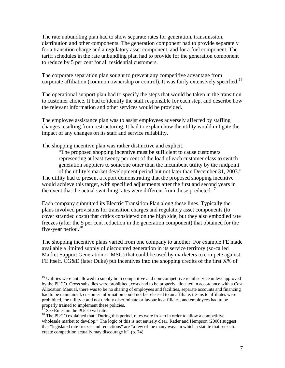The rate unbundling plan had to show separate rates for generation, transmission, distribution and other components. The generation component had to provide separately for a transition charge and a regulatory asset component, and for a fuel component. The tariff schedules in the rate unbundling plan had to provide for the generation component to reduce by 5 per cent for all residential customers.

The corporate separation plan sought to prevent any competitive advantage from corporate affiliation (common ownership or control). It was fairly extensively specified.<sup>[16](#page-7-0)</sup>

The operational support plan had to specify the steps that would be taken in the transition to customer choice. It had to identify the staff responsible for each step, and describe how the relevant information and other services would be provided.

The employee assistance plan was to assist employees adversely affected by staffing changes resulting from restructuring. It had to explain how the utility would mitigate the impact of any changes on its staff and service reliability.

The shopping incentive plan was rather distinctive and explicit.

"The proposed shopping incentive must be sufficient to cause customers representing at least twenty per cent of the load of each customer class to switch generation suppliers to someone other than the incumbent utility by the midpoint of the utility's market development period but not later than December 31, 2003." The utility had to present a report demonstrating that the proposed shopping incentive would achieve this target, with specified adjustments after the first and second years in the event that the actual switching rates were different from those predicted.<sup>[17](#page-7-1)</sup>

Each company submitted its Electric Transition Plan along these lines. Typically the plans involved provisions for transition charges and regulatory asset components (to cover stranded costs) that critics considered on the high side, but they also embodied rate freezes (after the 5 per cent reduction in the generation component) that obtained for the five-year period.<sup>18</sup>

The shopping incentive plans varied from one company to another. For example FE made available a limited supply of discounted generation in its service territory (so-called Market Support Generation or MSG) that could be used by marketers to compete against FE itself. CG&E (later Duke) put incentives into the shopping credits of the first X% of

<span id="page-7-0"></span><sup>&</sup>lt;sup>16</sup> Utilities were not allowed to supply both competitive and non-competitive retail service unless approved by the PUCO. Cross subsidies were prohibited, costs had to be properly allocated in accordance with a Cost Allocation Manual, there was to be no sharing of employees and facilities, separate accounts and financing had to be maintained, customer information could not be released to an affiliate, tie-ins to affiliates were prohibited, the utility could not unduly discriminate or favour its affiliates, and employees had to be properly trained to implement these policies.

<sup>&</sup>lt;sup>17</sup> See Rules on the PUCO website.

<span id="page-7-2"></span><span id="page-7-1"></span><sup>&</sup>lt;sup>18</sup> The PUCO explained that "During this period, rates were frozen in order to allow a competitive wholesale market to develop." The logic of this is not entirely clear. Rader and Hempson (2000) suggest that "legislated rate freezes and reductions" are "a few of the many ways in which a statute that seeks to create competition actually may discourage it". (p. 74)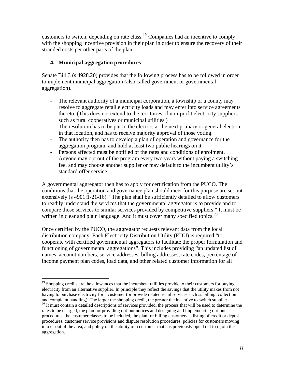customers to switch, depending on rate class.[19](#page-8-0) Companies had an incentive to comply with the shopping incentive provision in their plan in order to ensure the recovery of their stranded costs per other parts of the plan.

# **4. Municipal aggregation procedures**

Senate Bill 3 (s 4928.20) provides that the following process has to be followed in order to implement municipal aggregation (also called government or governmental aggregation).

- The relevant authority of a municipal corporation, a township or a county may resolve to aggregate retail electricity loads and may enter into service agreements thereto. (This does not extend to the territories of non-profit electricity suppliers such as rural cooperatives or municipal utilities.)
- The resolution has to be put to the electors at the next primary or general election in that location, and has to receive majority approval of those voting.
- The authority then has to develop a plan of operation and governance for the aggregation program, and hold at least two public hearings on it.
- Persons affected must be notified of the rates and conditions of enrolment. Anyone may opt out of the program every two years without paying a switching fee, and may choose another supplier or may default to the incumbent utility's standard offer service.

A governmental aggregator then has to apply for certification from the PUCO. The conditions that the operation and governance plan should meet for this purpose are set out extensively (s 4901:1-21-16). "The plan shall be sufficiently detailed to allow customers to readily understand the services that the governmental aggregator is to provide and to compare those services to similar services provided by competitive suppliers." It must be written in clear and plain language. And it must cover many specified topics.<sup>[20](#page-8-1)</sup>

Once certified by the PUCO, the aggregator requests relevant data from the local distribution company. Each Electricity Distribution Utility (EDU) is required "to cooperate with certified governmental aggregators to facilitate the proper formulation and functioning of governmental aggregations". This includes providing "an updated list of names, account numbers, service addresses, billing addresses, rate codes, percentage of income payment plan codes, load data, and other related customer information for all

<span id="page-8-0"></span> $\overline{a}$  $19$  Shopping credits are the allowances that the incumbent utilities provide to their customers for buying electricity from an alternative supplier. In principle they reflect the savings that the utility makes from not having to purchase electricity for a customer (or provide related retail services such as billing, collection and complaint handling). The larger the shopping credit, the greater the incentive to switch supplier.

<span id="page-8-1"></span><sup>&</sup>lt;sup>20</sup> It must contain a detailed descriptions of services provided, the process that will be used to determine the rates to be charged, the plan for providing opt-out notices and designing and implementing opt-out procedures, the customer classes to be included, the plan for billing customers, a listing of credit or deposit procedures, customer service provisions and dispute resolution procedures, policies for customers moving into or out of the area, and policy on the ability of a customer that has previously opted out to rejoin the aggregation.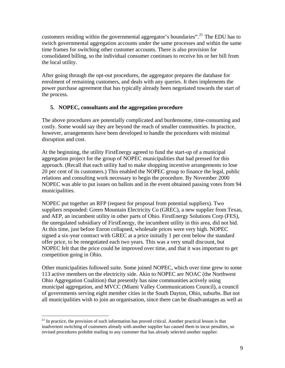customers residing within the governmental aggregator's boundaries".<sup>[21](#page-9-0)</sup> The EDU has to switch governmental aggregation accounts under the same processes and within the same time frames for switching other customer accounts. There is also provision for consolidated billing, so the individual consumer continues to receive his or her bill from the local utility.

After going through the opt-out procedures, the aggregator prepares the database for enrolment of remaining customers, and deals with any queries. It then implements the power purchase agreement that has typically already been negotiated towards the start of the process.

# **5. NOPEC, consultants and the aggregation procedure**

The above procedures are potentially complicated and burdensome, time-consuming and costly. Some would say they are beyond the reach of smaller communities. In practice, however, arrangements have been developed to handle the procedures with minimal disruption and cost.

At the beginning, the utility FirstEnergy agreed to fund the start-up of a municipal aggregation project for the group of NOPEC municipalities that had pressed for this approach. (Recall that each utility had to make shopping incentive arrangements to lose 20 per cent of its customers.) This enabled the NOPEC group to finance the legal, public relations and consulting work necessary to begin the procedure. By November 2000 NOPEC was able to put issues on ballots and in the event obtained passing votes from 94 municipalities.

NOPEC put together an RFP (request for proposal from potential suppliers). Two suppliers responded: Green Mountain Electricity Co (GREC), a new supplier from Texas, and AEP, an incumbent utility in other parts of Ohio. FirstEnergy Solutions Corp (FES), the unregulated subsidiary of FirstEnergy, the incumbent utility in this area, did not bid. At this time, just before Enron collapsed, wholesale prices were very high. NOPEC signed a six-year contract with GREC at a price initially 1 per cent below the standard offer price, to be renegotiated each two years. This was a very small discount, but NOPEC felt that the price could be improved over time, and that it was important to get competition going in Ohio.

Other municipalities followed suite. Some joined NOPEC, which over time grew to some 113 active members on the electricity side. Akin to NOPEC are NOAC (the Northwest Ohio Aggregation Coalition) that presently has nine communities actively using municipal aggregation, and MVCC (Miami Valley Communications Council), a council of governments serving eight member cities in the South Dayton, Ohio, suburbs. But not all municipalities wish to join an organisation, since there can be disadvantages as well as

<span id="page-9-0"></span> $21$  In practice, the provision of such information has proved critical. Another practical lesson is that inadvertent switching of customers already with another supplier has caused them to incur penalties, so revised procedures prohibit mailing to any customer that has already selected another supplier.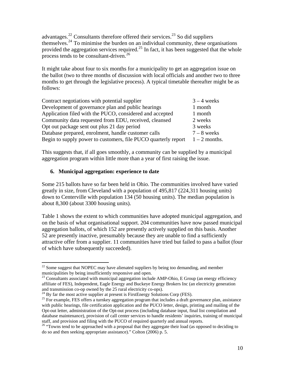advantages.<sup>[22](#page-10-0)</sup> Consultants therefore offered their services.<sup>[23](#page-10-1)</sup> So did suppliers themselves.[24](#page-10-2) To minimise the burden on an individual community, these organisations provided the aggregation services required.<sup>[25](#page-10-3)</sup> In fact, it has been suggested that the whole process tends to be consultant-driven.<sup>[26](#page-10-4)</sup>

It might take about four to six months for a municipality to get an aggregation issue on the ballot (two to three months of discussion with local officials and another two to three months to get through the legislative process). A typical timetable thereafter might be as follows:

| Contract negotiations with potential supplier                  | $3 - 4$ weeks   |
|----------------------------------------------------------------|-----------------|
| Development of governance plan and public hearings             | 1 month         |
| Application filed with the PUCO, considered and accepted       | 1 month         |
| Community data requested from EDU, received, cleansed          | 2 weeks         |
| Opt out package sent out plus 21 day period                    | 3 weeks         |
| Database prepared, enrolment, handle customer calls            | $7 - 8$ weeks   |
| Begin to supply power to customers, file PUCO quarterly report | $1 - 2$ months. |

This suggests that, if all goes smoothly, a community can be supplied by a municipal aggregation program within little more than a year of first raising the issue.

# **6. Municipal aggregation: experience to date**

Some 215 ballots have so far been held in Ohio. The communities involved have varied greatly in size, from Cleveland with a population of 495,817 (224,311 housing units) down to Centerville with population 134 (50 housing units). The median population is about 8,300 (about 3300 housing units).

Table 1 shows the extent to which communities have adopted municipal aggregation, and on the basis of what organisational support. 204 communities have now passed municipal aggregation ballots, of which 152 are presently actively supplied on this basis. Another 52 are presently inactive, presumably because they are unable to find a sufficiently attractive offer from a supplier. 11 communities have tried but failed to pass a ballot (four of which have subsequently succeeded).

<span id="page-10-0"></span> $\overline{a}$  $22$  Some suggest that NOPEC may have alienated suppliers by being too demanding, and member municipalities by being insufficiently responsive and open.

<span id="page-10-1"></span><sup>&</sup>lt;sup>23</sup> Consultants associated with municipal aggregation include  $AMP-Ohio, E$  Group (an energy efficiency affiliate of FES), Independent, Eagle Energy and Buckeye Energy Brokers Inc (an electricity generation

<span id="page-10-2"></span> $24$  By far the most active supplier at present is FirstEnergy Solutions Corp (FES).

<span id="page-10-3"></span><sup>&</sup>lt;sup>25</sup> For example, FES offers a turnkey aggregation program that includes a draft governance plan, assistance with public hearings, file certification application and the PUCO letter, design, printing and mailing of the Opt-out letter, administration of the Opt-out process (including database input, final list compilation and database maintenance), provision of call center services to handle residents' inquiries, training of municipal staff, and provision and filing with the PUCO of required quarterly and annual reports.

<span id="page-10-4"></span><sup>&</sup>lt;sup>26</sup> "Towns tend to be approached with a proposal that they aggregate their load (as opposed to deciding to do so and then seeking appropriate assistance)." Colton (2006) p. 5.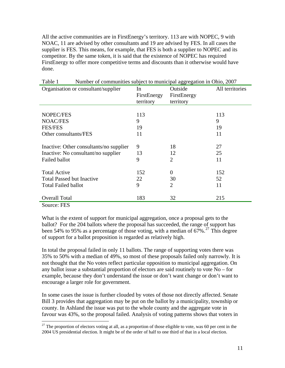All the active communities are in FirstEnergy's territory. 113 are with NOPEC, 9 with NOAC, 11 are advised by other consultants and 19 are advised by FES. In all cases the supplier is FES. This means, for example, that FES is both a supplier to NOPEC and its competitor. By the same token, it is said that the existence of NOPEC has required FirstEnergy to offer more competitive terms and discounts than it otherwise would have done.

| Tavit T<br>TVULLIOCI OI COMMUNICOS SUOJECT TO MUNICIPAL Aggregation in Omo, 2007 |             |                  |                 |
|----------------------------------------------------------------------------------|-------------|------------------|-----------------|
| Organisation or consultant/supplier                                              | In          | Outside          | All territories |
|                                                                                  | FirstEnergy | FirstEnergy      |                 |
|                                                                                  | territory   | territory        |                 |
|                                                                                  |             |                  |                 |
| NOPEC/FES                                                                        | 113         |                  | 113             |
| <b>NOAC/FES</b>                                                                  | 9           |                  | 9               |
| <b>FES/FES</b>                                                                   | 19          |                  | 19              |
| Other consultants/FES                                                            | 11          |                  | 11              |
|                                                                                  |             |                  |                 |
| Inactive: Other consultants/no supplier                                          | 9           | 18               | 27              |
| Inactive: No consultant/no supplier                                              | 13          | 12               | 25              |
| Failed ballot                                                                    | 9           | $\overline{2}$   | 11              |
|                                                                                  |             |                  |                 |
| <b>Total Active</b>                                                              | 152         | $\boldsymbol{0}$ | 152             |
| <b>Total Passed but Inactive</b>                                                 | 22          | 30               | 52              |
| <b>Total Failed ballot</b>                                                       | 9           | $\overline{2}$   | 11              |
|                                                                                  |             |                  |                 |
| <b>Overall Total</b>                                                             | 183         | 32               | 215             |
|                                                                                  |             |                  |                 |

Table 1 Number of communities subject to municipal aggregation in Ohio, 2007

Source: FES

 $\overline{a}$ 

What is the extent of support for municipal aggregation, once a proposal gets to the ballot? For the 204 ballots where the proposal has succeeded, the range of support has been 54% to 95% as a percentage of those voting, with a median of  $67\%$ <sup>[27](#page-11-0)</sup>. This degree of support for a ballot proposition is regarded as relatively high.

In total the proposal failed in only 11 ballots. The range of supporting votes there was 35% to 50% with a median of 49%, so most of these proposals failed only narrowly. It is not thought that the No votes reflect particular opposition to municipal aggregation. On any ballot issue a substantial proportion of electors are said routinely to vote No – for example, because they don't understand the issue or don't want change or don't want to encourage a larger role for government.

In some cases the issue is further clouded by votes of those not directly affected. Senate Bill 3 provides that aggregation may be put on the ballot by a municipality, township or county. In Ashland the issue was put to the whole county and the aggregate vote in favour was 43%, so the proposal failed. Analysis of voting patterns shows that voters in

<span id="page-11-0"></span> $27$  The proportion of electors voting at all, as a proportion of those eligible to vote, was 60 per cent in the 2004 US presidential election. It might be of the order of half to one third of that in a local election.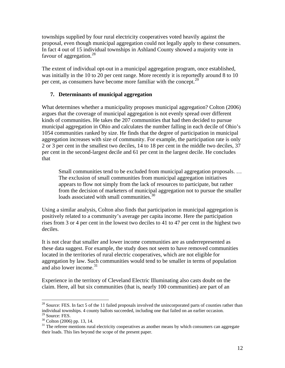townships supplied by four rural electricity cooperatives voted heavily against the proposal, even though municipal aggregation could not legally apply to these consumers. In fact 4 out of 15 individual townships in Ashland County showed a majority vote in favour of aggregation.  $28$ 

The extent of individual opt-out in a municipal aggregation program, once established, was initially in the 10 to 20 per cent range. More recently it is reportedly around 8 to 10 per cent, as consumers have become more familiar with the concept.<sup>[29](#page-12-1)</sup>

# **7. Determinants of municipal aggregation**

What determines whether a municipality proposes municipal aggregation? Colton (2006) argues that the coverage of municipal aggregation is not evenly spread over different kinds of communities. He takes the 207 communities that had then decided to pursue municipal aggregation in Ohio and calculates the number falling in each decile of Ohio's 1054 communities ranked by size. He finds that the degree of participation in municipal aggregation increases with size of community. For example, the participation rate is only 2 or 3 per cent in the smallest two deciles, 14 to 18 per cent in the middle two deciles, 37 per cent in the second-largest decile and 61 per cent in the largest decile. He concludes that

Small communities tend to be excluded from municipal aggregation proposals. ... The exclusion of small communities from municipal aggregation initiatives appears to flow not simply from the lack of resources to participate, but rather from the decision of marketers of municipal aggregation not to pursue the smaller loads associated with small communities.<sup>[30](#page-12-2)</sup>

Using a similar analysis, Colton also finds that participation in municipal aggregation is positively related to a community's average per capita income. Here the participation rises from 3 or 4 per cent in the lowest two deciles to 41 to 47 per cent in the highest two deciles.

It is not clear that smaller and lower income communities are as underrepresented as these data suggest. For example, the study does not seem to have removed communities located in the territories of rural electric cooperatives, which are not eligible for aggregation by law. Such communities would tend to be smaller in terms of population and also lower income.  $31$ 

Experience in the territory of Cleveland Electric Illuminating also casts doubt on the claim. Here, all but six communities (that is, nearly 100 communities) are part of an

<span id="page-12-0"></span> $\overline{a}$ <sup>28</sup> Source: FES. In fact 5 of the 11 failed proposals involved the unincorporated parts of counties rather than individual townships. 4 county ballots succeeded, including one that failed on an earlier occasion.

<sup>&</sup>lt;sup>29</sup> Source: FES.

<span id="page-12-2"></span><span id="page-12-1"></span> $30$  Colton (2006) pp. 13, 14.

<span id="page-12-3"></span> $31$  The referee mentions rural electricity cooperatives as another means by which consumers can aggregate their loads. This lies beyond the scope of the present paper.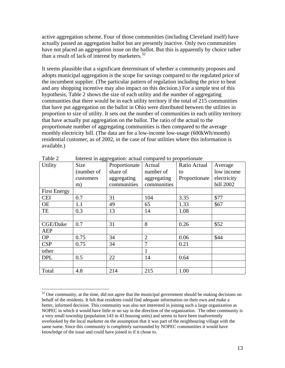active aggregation scheme. Four of those communities (including Cleveland itself) have actually passed an aggregation ballot but are presently inactive. Only two communities have not placed an aggregation issue on the ballot. But this is apparently by choice rather than a result of lack of interest by marketers. $32$ 

It seems plausible that a significant determinant of whether a community proposes and adopts municipal aggregation is the scope for savings compared to the regulated price of the incumbent supplier. (The particular pattern of regulation including the price to beat and any shopping incentive may also impact on this decision.) For a simple test of this hypothesis, Table 2 shows the size of each utility and the number of aggregating communities that there would be in each utility territory if the total of 215 communities that have put aggregation on the ballot in Ohio were distributed between the utilities in proportion to size of utility. It sets out the number of communities in each utility territory that have actually put aggregation on the ballot. The ratio of the actual to the proportionate number of aggregating communities is then compared to the average monthly electricity bill. (The data are for a low-income low-usage (600kWh/month) residential customer, as of 2002, in the case of four utilities where this information is available.)

| <b>Utility</b>      | Size       | aggregation, account compared to proportional<br>Proportionate | Actual         | Ratio Actual  | Average     |
|---------------------|------------|----------------------------------------------------------------|----------------|---------------|-------------|
|                     | (number of | share of                                                       | number of      | to            | low income  |
|                     | customers  | aggregating                                                    | aggregating    | Proportionate | electricity |
|                     | m)         | communities                                                    | communities    |               | bill 2002   |
| <b>First Energy</b> |            |                                                                |                |               |             |
| <b>CEI</b>          | 0.7        | 31                                                             | 104            | 3.35          | \$77        |
| <b>OE</b>           | 1.1        | 49                                                             | 65             | 1.33          | \$67        |
| TE                  | 0.3        | 13                                                             | 14             | 1.08          |             |
|                     |            |                                                                |                |               |             |
| CGE/Duke            | 0.7        | 31                                                             | 8              | 0.26          | \$52        |
| <b>AEP</b>          |            |                                                                |                |               |             |
| <b>OP</b>           | 0.75       | 34                                                             | $\overline{2}$ | 0.06          | \$44        |
| <b>CSP</b>          | 0.75       | 34                                                             | 7              | 0.21          |             |
| other               |            |                                                                | 1              |               |             |
| <b>DPL</b>          | 0.5        | 22                                                             | 14             | 0.64          |             |
|                     |            |                                                                |                |               |             |
| Total               | 4.8        | 214                                                            | 215            | 1.00          |             |

Table 2 Interest in aggregation: actual compared to proportionate

<span id="page-13-0"></span> $32$  One community, at the time, did not agree that the municipal government should be making decisions on behalf of the residents. It felt that residents could find adequate information on their own and make a better, informed decision. This community was also not interested in joining such a large organization as NOPEC in which it would have little or no say in the direction of the organization. The other community is a very small township (population 143 in 43 housing units) and seems to have been inadvertently overlooked by the local marketer on the assumption that it was part of the neighbouring village with the same name. Since this community is completely surrounded by NOPEC communities it would have knowledge of the issue and could have joined in if it chose to.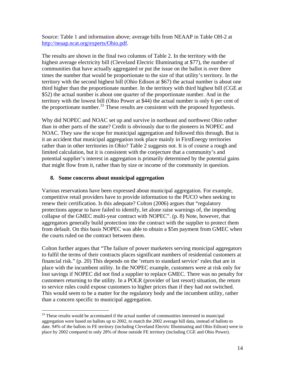Source: Table 1 and information above; average bills from NEAAP in Table OH-2 at [http://neaap.ncat.org/experts/Ohio.pdf.](http://neaap.ncat.org/experts/Ohio.pdf)

The results are shown in the final two columns of Table 2. In the territory with the highest average electricity bill (Cleveland Electric Illuminating at \$77), the number of communities that have actually aggregated or put the issue on the ballot is over three times the number that would be proportionate to the size of that utility's territory. In the territory with the second highest bill (Ohio Edison at \$67) the actual number is about one third higher than the proportionate number. In the territory with third highest bill (CGE at \$52) the actual number is about one quarter of the proportionate number. And in the territory with the lowest bill (Ohio Power at \$44) the actual number is only 6 per cent of the proportionate number. $33$  These results are consistent with the proposed hypothesis.

Why did NOPEC and NOAC set up and survive in northeast and northwest Ohio rather than in other parts of the state? Credit is obviously due to the pioneers in NOPEC and NOAC. They saw the scope for municipal aggregation and followed this through. But is it an accident that municipal aggregation took place mainly in FirstEnergy territories rather than in other territories in Ohio? Table 2 suggests not. It is of course a rough and limited calculation, but it is consistent with the conjecture that a community's and potential supplier's interest in aggregation is primarily determined by the potential gains that might flow from it, rather than by size or income of the community in question.

## **8. Some concerns about municipal aggregation**

 $\overline{a}$ 

Various reservations have been expressed about municipal aggregation. For example, competitive retail providers have to provide information to the PUCO when seeking to renew their certification. Is this adequate? Colton (2006) argues that "regulatory protections appear to have failed to identify, let alone raise warnings of, the impending collapse of the GMEC multi-year contract with NOPEC". (p. 8) Note, however, that aggregators generally build protection into the contract with the supplier to protect them from default. On this basis NOPEC was able to obtain a \$5m payment from GMEC when the courts ruled on the contract between them.

Colton further argues that "The failure of power marketers serving municipal aggregators to fulfil the terms of their contracts places significant numbers of residential customers at financial risk." (p. 20) This depends on the 'return to standard service' rules that are in place with the incumbent utility. In the NOPEC example, customers were at risk only for lost savings if NOPEC did not find a supplier to replace GMEC. There was no penalty for customers returning to the utility. In a POLR (provider of last resort) situation, the return to service rules could expose customers to higher prices than if they had not switched. This would seem to be a matter for the regulatory body and the incumbent utility, rather than a concern specific to municipal aggregation.

<span id="page-14-0"></span><sup>&</sup>lt;sup>33</sup> These results would be accentuated if the actual number of communities interested in municipal aggregation were based on ballots up to 2002, to match the 2002 average bill data, instead of ballots to date. 94% of the ballots in FE territory (including Cleveland Electric Illuminating and Ohio Edison) were in place by 2002 compared to only 28% of those outside FE territory (including CGE and Ohio Power).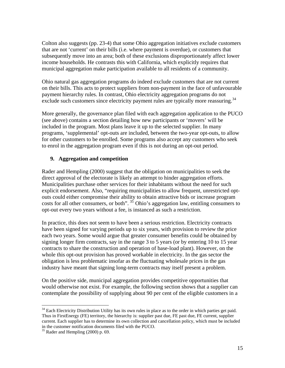Colton also suggests (pp. 23-4) that some Ohio aggregation initiatives exclude customers that are not 'current' on their bills (i.e. where payment is overdue), or customers that subsequently move into an area; both of these exclusions disproportionately affect lower income households. He contrasts this with California, which explicitly requires that municipal aggregation make participation available to all residents of a community.

Ohio natural gas aggregation programs do indeed exclude customers that are not current on their bills. This acts to protect suppliers from non-payment in the face of unfavourable payment hierarchy rules. In contrast, Ohio electricity aggregation programs do not exclude such customers since electricity payment rules are typically more reassuring.<sup>[34](#page-15-0)</sup>

More generally, the governance plan filed with each aggregation application to the PUCO (see above) contains a section detailing how new participants or 'movers' will be included in the program. Most plans leave it up to the selected supplier. In many programs, 'supplemental' opt-outs are included, between the two-year opt-outs, to allow for other customers to be enrolled. Some programs also accept any customers who seek to enrol in the aggregation program even if this is not during an opt-out period.

# **9. Aggregation and competition**

Rader and Hempling (2000) suggest that the obligation on municipalities to seek the direct approval of the electorate is likely an attempt to hinder aggregation efforts. Municipalities purchase other services for their inhabitants without the need for such explicit endorsement. Also, "requiring municipalities to allow frequent, unrestricted optouts could either compromise their ability to obtain attractive bids or increase program costs for all other consumers, or both".  $35$  Ohio's aggregation law, entitling consumers to opt-out every two years without a fee, is instanced as such a restriction.

In practice, this does not seem to have been a serious restriction. Electricity contracts have been signed for varying periods up to six years, with provision to review the price each two years. Some would argue that greater consumer benefits could be obtained by signing longer firm contracts, say in the range 3 to 5 years (or by entering 10 to 15 year contracts to share the construction and operation of base-load plant). However, on the whole this opt-out provision has proved workable in electricity. In the gas sector the obligation is less problematic insofar as the fluctuating wholesale prices in the gas industry have meant that signing long-term contracts may itself present a problem.

On the positive side, municipal aggregation provides competitive opportunities that would otherwise not exist. For example, the following section shows that a supplier can contemplate the possibility of supplying about 90 per cent of the eligible customers in a

<span id="page-15-0"></span> $34$  Each Electricity Distribution Utility has its own rules in place as to the order in which parties get paid. Thus in FirstEnergy (FE) territory, the hierarchy is: supplier past due, FE past due, FE current, supplier current. Each supplier has to determine its own collection and cancellation policy, which must be included in the customer notification documents filed with the PUCO.

<span id="page-15-1"></span> $35$  Rader and Hempling (2000) p. 69.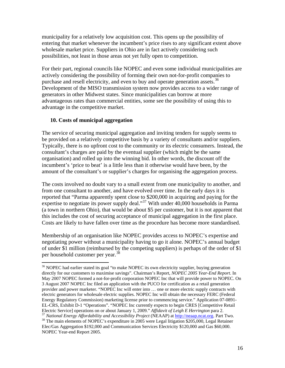municipality for a relatively low acquisition cost. This opens up the possibility of entering that market whenever the incumbent's price rises to any significant extent above wholesale market price. Suppliers in Ohio are in fact actively considering such possibilities, not least in those areas not yet fully open to competition.

For their part, regional councils like NOPEC and even some individual municipalities are actively considering the possibility of forming their own not-for-profit companies to purchase and resell electricity, and even to buy and operate generation assets.<sup>[36](#page-16-0)</sup> Development of the MISO transmission system now provides access to a wider range of generators in other Midwest states. Since municipalities can borrow at more advantageous rates than commercial entities, some see the possibility of using this to advantage in the competitive market.

# **10. Costs of municipal aggregation**

 $\overline{a}$ 

The service of securing municipal aggregation and inviting tenders for supply seems to be provided on a relatively competitive basis by a variety of consultants and/or suppliers. Typically, there is no upfront cost to the community or its electric consumers. Instead, the consultant's charges are paid by the eventual supplier (which might be the same organisation) and rolled up into the winning bid. In other words, the discount off the incumbent's 'price to beat' is a little less than it otherwise would have been, by the amount of the consultant's or supplier's charges for organising the aggregation process.

The costs involved no doubt vary to a small extent from one municipality to another, and from one consultant to another, and have evolved over time. In the early days it is reported that "Parma apparently spent close to \$200,000 in acquiring and paying for the expertise to negotiate its power supply deal."<sup>[37](#page-16-1)</sup> With under 40,000 households in Parma (a town in northern Ohio), that would be about \$5 per customer, but it is not apparent that this includes the cost of securing acceptance of municipal aggregation in the first place. Costs are likely to have fallen over time as the procedure has become more standardised.

Membership of an organisation like NOPEC provides access to NOPEC's expertise and negotiating power without a municipality having to go it alone. NOPEC's annual budget of under \$1 million (reimbursed by the competing suppliers) is perhaps of the order of \$1 per household customer per year.<sup>[38](#page-16-2)</sup>

<span id="page-16-0"></span><sup>&</sup>lt;sup>36</sup> NOPEC had earlier stated its goal "to make NOPEC its own electricity supplier, buying generation directly for our customers to maximise savings". Chairman's Report, *NOPEC 2005 Year-End Report*. In May 2007 NOPEC formed a not-for-profit corporation NOPEC Inc that will provide power to NOPEC. On 3 August 2007 NOPEC Inc filed an application with the PUCO for certification as a retail generation provider and power marketer. "NOPEC Inc will enter into … one or more electric supply contracts with electric generators for wholesale electric supplies. NOPEC Inc will obtain the necessary FERC (Federal Energy Regulatory Commission) marketing license prior to commencing service." Application 07-0891- EL-CRS, Exhibit D-1 "Operations". "NOPEC Inc currently expects to begin CRES [Competitive Retail Electric Service] operations on or about January 1, 2009." Affidavit of Leigh E Herrington para 2.<br><sup>37</sup> National Energy Affordability and Accessibility Project (NEAAP) at [http://neaap.ncat.org](http://neaap.ncat.org/). Part Two.<br><sup>38</sup> The main elem

<span id="page-16-2"></span><span id="page-16-1"></span>Elec/Gas Aggregation \$192,000 and Communication Services Electricity \$120,000 and Gas \$60,000. NOPEC Year-end Report 2005.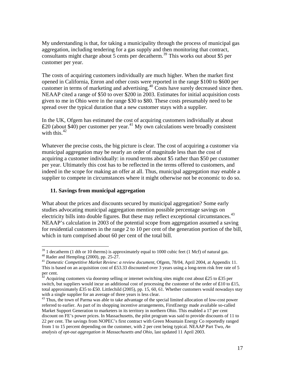My understanding is that, for taking a municipality through the process of municipal gas aggregation, including tendering for a gas supply and then monitoring that contract, consultants might charge about 5 cents per decatherm.<sup>[39](#page-17-0)</sup> This works out about \$5 per customer per year.

The costs of acquiring customers individually are much higher. When the market first opened in California, Enron and other costs were reported in the range \$100 to \$600 per customer in terms of marketing and advertising.<sup>[40](#page-17-1)</sup> Costs have surely decreased since then. NEAAP cited a range of \$50 to over \$200 in 2003. Estimates for initial acquisition costs given to me in Ohio were in the range \$30 to \$80. These costs presumably need to be spread over the typical duration that a new customer stays with a supplier.

In the UK, Ofgem has estimated the cost of acquiring customers individually at about  $\text{\textsterling}20$  (about \$40) per customer per year.<sup>[41](#page-17-2)</sup> My own calculations were broadly consistent with this. $42$ 

Whatever the precise costs, the big picture is clear. The cost of acquiring a customer via municipal aggregation may be nearly an order of magnitude less than the cost of acquiring a customer individually: in round terms about \$5 rather than \$50 per customer per year. Ultimately this cost has to be reflected in the terms offered to customers, and indeed in the scope for making an offer at all. Thus, municipal aggregation may enable a supplier to compete in circumstances where it might otherwise not be economic to do so.

## **11. Savings from municipal aggregation**

What about the prices and discounts secured by municipal aggregation? Some early studies advocating municipal aggregation mention possible percentage savings on electricity bills into double figures. But these may reflect exceptional circumstances.<sup>[43](#page-17-4)</sup> NEAAP's calculation in 2003 of the potential scope from aggregation assumed a saving for residential customers in the range 2 to 10 per cent of the generation portion of the bill, which in turn comprised about 60 per cent of the total bill.

<span id="page-17-0"></span> $39$  1 decatherm (1 dth or 10 therms) is approximately equal to 1000 cubic feet (1 Mcf) of natural gas.  $40$  Rader and Hempling (2000), pp. 25-27.

<span id="page-17-1"></span>

<span id="page-17-2"></span><sup>41</sup> *Domestic Competitive Market Review: a review document*, Ofgem, 78/04, April 2004, at Appendix 11. This is based on an acquisition cost of £53.33 discounted over 3 years using a long-term risk free rate of 5 per cent.

<span id="page-17-3"></span> $^{42}$  Acquiring customers via doorstep selling or internet switching sites might cost about £25 to £35 per switch, but suppliers would incur an additional cost of processing the customer of the order of  $£10$  to £15, total approximately £35 to £50. Littlechild (2005), pp. 15, 60, 61. Whether customers would nowadays stay with a single supplier for an average of three years is less clear.

<span id="page-17-4"></span><sup>&</sup>lt;sup>43</sup> Thus, the town of Parma was able to take advantage of the special limited allocation of low-cost power referred to earlier. As part of its shopping incentive arrangements, FirstEnergy made available so-called Market Support Generation to marketers in its territory in northern Ohio. This enabled a 17 per cent discount on FE's power prices. In Massachusetts, the pilot program was said to provide discounts of 11 to 22 per cent. The savings from NOPEC's first contract with Green Mountain Energy Co reportedly ranged from 1 to 15 percent depending on the customer, with 2 per cent being typical. NEAAP Part Two, *An analysis of opt-out aggregation in Massachusetts and Ohio*, last updated 11 April 2003.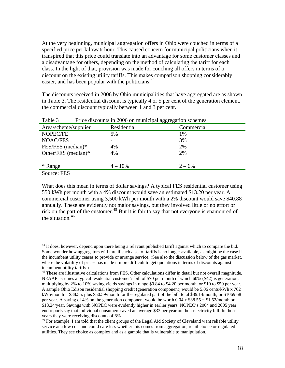At the very beginning, municipal aggregation offers in Ohio were couched in terms of a specified price per kilowatt hour. This caused concern for municipal politicians when it transpired that this price could translate into an advantage for some customer classes and a disadvantage for others, depending on the method of calculating the tariff for each class. In the light of that, provision was made for couching all offers in terms of a discount on the existing utility tariffs. This makes comparison shopping considerably easier, and has been popular with the politicians.<sup>[44](#page-18-0)</sup>

The discounts received in 2006 by Ohio municipalities that have aggregated are as shown in Table 3. The residential discount is typically 4 or 5 per cent of the generation element, the commercial discount typically between 1 and 3 per cent.

| Table 3<br>Price discounts in 2006 on municipal aggregation schemes |             |            |  |  |  |  |
|---------------------------------------------------------------------|-------------|------------|--|--|--|--|
| Area/scheme/supplier                                                | Residential | Commercial |  |  |  |  |
| NOPEC/FE                                                            | 5%          | 1%         |  |  |  |  |
| <b>NOAC/FES</b>                                                     |             | 3%         |  |  |  |  |
| FES/FES (median) $*$                                                | 4%          | 2%         |  |  |  |  |
| Other/FES (median) $*$                                              | 4%          | 2%         |  |  |  |  |
|                                                                     |             |            |  |  |  |  |
| * Range                                                             | $4 - 10\%$  | $2 - 6\%$  |  |  |  |  |

Source: FES

 $\overline{a}$ 

What does this mean in terms of dollar savings? A typical FES residential customer using 550 kWh per month with a 4% discount would save an estimated \$13.20 per year. A commercial customer using 3,500 kWh per month with a 2% discount would save \$40.88 annually. These are evidently not major savings, but they involved little or no effort or risk on the part of the customer.<sup>[45](#page-18-1)</sup> But it is fair to say that not everyone is enamoured of the situation. $46$ 

<span id="page-18-0"></span><sup>&</sup>lt;sup>44</sup> It does, however, depend upon there being a relevant published tariff against which to compare the bid. Some wonder how aggregators will fare if such a set of tariffs is no longer available, as might be the case if the incumbent utility ceases to provide or arrange service. (See also the discussion below of the gas market, where the volatility of prices has made it more difficult to get quotations in terms of discounts against incumbent utility tariffs.)

<span id="page-18-1"></span><sup>&</sup>lt;sup>45</sup> These are illustrative calculations from FES. Other calculations differ in detail but not overall magnitude. NEAAP assumes a typical residential customer's bill of \$70 per month of which 60% (\$42) is generation; multiplying by 2% to 10% saving yields savings in range \$0.84 to \$4.20 per month, or \$10 to \$50 per year. A sample Ohio Edison residential shopping credit (generation component) would be 5.06 cents/kWh x 762 kWh/month =  $$38.55$ , plus \$50.59/month for the regulated part of the bill, total \$89.14/month, or \$1069.68 per year. A saving of 4% on the generation component would be worth 0.04 x  $$38.55 = $1.52$ /month or \$18.24/year. Savings with NOPEC were evidently higher in earlier years. NOPEC's 2004 and 2005 year end reports say that individual consumers saved an average \$33 per year on their electricity bill. In those years they were receiving discounts of 6%.<br><sup>46</sup> For example, I am told that the client groups of the Legal Aid Society of Cleveland want reliable utility

<span id="page-18-2"></span>service at a low cost and could care less whether this comes from aggregation, retail choice or regulated utilities. They see choice as complex and as a gamble that is vulnerable to manipulation.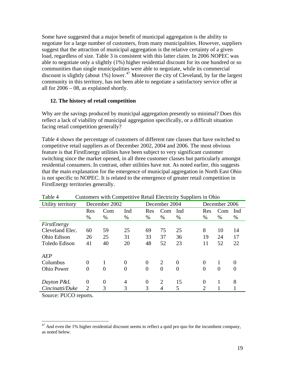Some have suggested that a major benefit of municipal aggregation is the ability to negotiate for a large number of customers, from many municipalities. However, suppliers suggest that the attraction of municipal aggregation is the relative certainty of a given load, regardless of size. Table 3 is consistent with this latter claim. In 2006 NOPEC was able to negotiate only a slightly (1%) higher residential discount for its one hundred or so communities than single municipalities were able to negotiate, while its commercial discount is slightly (about 1%) lower.<sup>[47](#page-19-0)</sup> Moreover the city of Cleveland, by far the largest community in this territory, has not been able to negotiate a satisfactory service offer at all for 2006 – 08, as explained shortly.

## **12. The history of retail competition**

Why are the savings produced by municipal aggregation presently so minimal? Does this reflect a lack of viability of municipal aggregation specifically, or a difficult situation facing retail competition generally?

Table 4 shows the percentage of customers of different rate classes that have switched to competitive retail suppliers as of December 2002, 2004 and 2006. The most obvious feature is that FirstEnergy utilities have been subject to very significant customer switching since the market opened, in all three customer classes but particularly amongst residential consumers. In contrast, other utilities have not. As noted earlier, this suggests that the main explanation for the emergence of municipal aggregation in North East Ohio is not specific to NOPEC. It is related to the emergence of greater retail competition in FirstEnergy territories generally.

| 1 adie 4<br>Customers with Competitive Retail Electricity Suppliers in Onio |               |                |          |                |                |                |          |                |          |
|-----------------------------------------------------------------------------|---------------|----------------|----------|----------------|----------------|----------------|----------|----------------|----------|
| Utility territory                                                           | December 2002 |                |          | December 2004  |                | December 2006  |          |                |          |
|                                                                             | Res           | Com            | Ind      | Res            | Com            | Ind            | Res      | Com            | Ind      |
|                                                                             | $\%$          | $\%$           | %        | $\%$           | $\%$           | $\%$           | $\%$     | %              | $\%$     |
| FirstEnergy                                                                 |               |                |          |                |                |                |          |                |          |
| Cleveland Elec.                                                             | 60            | 59             | 25       | 69             | 75             | 25             | 8        | 10             | 14       |
| Ohio Edison                                                                 | 26            | 25             | 31       | 33             | 37             | 36             | 19       | 24             | 17       |
| Toledo Edison                                                               | 41            | 40             | 20       | 48             | 52             | 23             | 11       | 52             | 22       |
|                                                                             |               |                |          |                |                |                |          |                |          |
| AEP                                                                         |               |                |          |                |                |                |          |                |          |
| Columbus                                                                    | 0             |                | $\Omega$ | $\overline{0}$ | 2              | $\theta$       | $\Omega$ |                | $\Omega$ |
| <b>Ohio Power</b>                                                           | 0             | $\overline{0}$ | $\Omega$ | $\overline{0}$ | $\overline{0}$ | $\overline{0}$ | $\Omega$ | $\overline{0}$ | $\Omega$ |
|                                                                             |               |                |          |                |                |                |          |                |          |
| Dayton P&L                                                                  | 0             | $\overline{0}$ | 4        | 0              | $\overline{2}$ | 15             | $\theta$ |                | 8        |
| Cincinatti/Duke                                                             | 2             | 3              | 3        | 3              | 4              | 5              | 2        |                |          |

Table 4 Customers with Competitive Retail Electricity Suppliers in Ohio

Source: PUCO reports.

<span id="page-19-0"></span> $47$  And even the 1% higher residential discount seems to reflect a quid pro quo for the incumbent company, as noted below.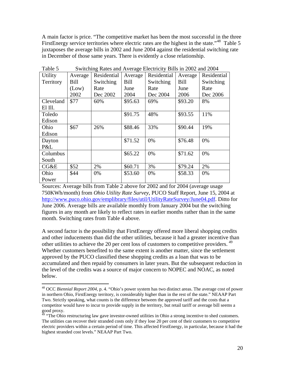A main factor is price. "The competitive market has been the most successful in the three FirstEnergy service territories where electric rates are the highest in the state."<sup>[48](#page-20-0)</sup> Table 5 juxtaposes the average bills in 2002 and June 2004 against the residential switching rate in December of those same years. There is evidently a close relationship.

| 1 UU 1 V V<br>$\beta$ whening rules and revealed $\beta$ becausity $\beta$ ms in 2002 and 2004 |         |             |         |             |         |             |
|------------------------------------------------------------------------------------------------|---------|-------------|---------|-------------|---------|-------------|
| Utility                                                                                        | Average | Residential | Average | Residential | Average | Residential |
| Territory                                                                                      | Bill    | Switching   | Bill    | Switching   | Bill    | Switching   |
|                                                                                                | (Low)   | Rate        | June    | Rate        | June    | Rate        |
|                                                                                                | 2002    | Dec 2002    | 2004    | Dec 2004    | 2006    | Dec 2006    |
| Cleveland                                                                                      | \$77    | 60%         | \$95.63 | 69%         | \$93.20 | 8%          |
| El III.                                                                                        |         |             |         |             |         |             |
| Toledo                                                                                         |         |             | \$91.75 | 48%         | \$93.55 | 11%         |
| Edison                                                                                         |         |             |         |             |         |             |
| Ohio                                                                                           | \$67    | 26%         | \$88.46 | 33%         | \$90.44 | 19%         |
| Edison                                                                                         |         |             |         |             |         |             |
| Dayton                                                                                         |         |             | \$71.52 | 0%          | \$76.48 | 0%          |
| P&L                                                                                            |         |             |         |             |         |             |
| Columbus                                                                                       |         |             | \$65.22 | 0%          | \$71.62 | 0%          |
| South                                                                                          |         |             |         |             |         |             |
| CG&E                                                                                           | \$52    | 2%          | \$60.71 | 3%          | \$79.24 | 2%          |
| Ohio                                                                                           | \$44    | 0%          | \$53.60 | 0%          | \$58.33 | 0%          |
| Power                                                                                          |         |             |         |             |         |             |

Table 5 Switching Rates and Average Electricity Bills in 2002 and 2004

Sources: Average bills from Table 2 above for 2002 and for 2004 (average usage 750KWh/month) from *Ohio Utility Rate Survey*, PUCO Staff Report, June 15, 2004 at [http://www.puco.ohio.gov/emplibrary/files/util/UtilityRateSurvey/June04.pdf.](http://www.puco.ohio.gov/emplibrary/files/util/UtilityRateSurvey/June04.pdf) Ditto for June 2006. Average bills are available monthly from January 2004 but the switching figures in any month are likely to reflect rates in earlier months rather than in the same month. Switching rates from Table 4 above.

A second factor is the possibility that FirstEnergy offered more liberal shopping credits and other inducements than did the other utilities, because it had a greater incentive than other utilities to achieve the 20 per cent loss of customers to competitive providers.<sup>[49](#page-20-1)</sup> Whether customers benefited to the same extent is another matter, since the settlement approved by the PUCO classified these shopping credits as a loan that was to be accumulated and then repaid by consumers in later years. But the subsequent reduction in the level of the credits was a source of major concern to NOPEC and NOAC, as noted below.

<span id="page-20-0"></span><sup>48</sup> OCC *Biennial Report 2004*, p. 4. "Ohio's power system has two distinct areas. The average cost of power in northern Ohio, FirstEnergy territory, is considerably higher than in the rest of the state." NEAAP Part Two. Strictly speaking, what counts is the difference between the approved tariff and the costs that a competitor would have to incur to provide supply in the territory, but retail tariff or average bill seems a good proxy.

<span id="page-20-1"></span> $49$  "The Ohio restructuring law gave investor-owned utilities in Ohio a strong incentive to shed customers. The utilities can recover their stranded costs only if they lose 20 per cent of their customers to competitive electric providers within a certain period of time. This affected FirstEnergy, in particular, because it had the highest stranded cost levels." NEAAP Part Two.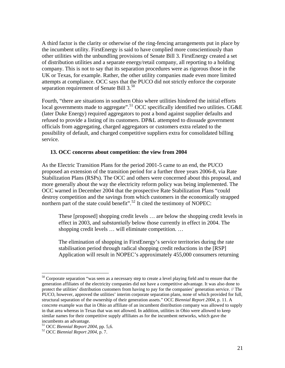A third factor is the clarity or otherwise of the ring-fencing arrangements put in place by the incumbent utility. FirstEnergy is said to have complied more conscientiously than other utilities with the unbundling provisions of Senate Bill 3. FirstEnergy created a set of distribution utilities and a separate energy/retail company, all reporting to a holding company. This is not to say that its separation procedures were as rigorous those in the UK or Texas, for example. Rather, the other utility companies made even more limited attempts at compliance. OCC says that the PUCO did not strictly enforce the corporate separation requirement of Senate Bill  $3.^{50}$  $3.^{50}$  $3.^{50}$ 

Fourth, "there are situations in southern Ohio where utilities hindered the initial efforts local governments made to aggregate".<sup>[51](#page-21-1)</sup> OCC specifically identified two utilities. CG&E (later Duke Energy) required aggregators to post a bond against supplier defaults and refused to provide a listing of its customers. DP&L attempted to dissuade government officials from aggregating, charged aggregators or customers extra related to the possibility of default, and charged competitive suppliers extra for consolidated billing service.

#### **13. OCC concerns about competition: the view from 2004**

As the Electric Transition Plans for the period 2001-5 came to an end, the PUCO proposed an extension of the transition period for a further three years 2006-8, via Rate Stabilization Plans (RSPs). The OCC and others were concerned about this proposal, and more generally about the way the electricity reform policy was being implemented. The OCC warned in December 2004 that the prospective Rate Stabilization Plans "could destroy competition and the savings from which customers in the economically strapped northern part of the state could benefit".<sup>[52](#page-21-2)</sup> It cited the testimony of NOPEC:

These [proposed] shopping credit levels … are below the shopping credit levels in effect in 2003, and *substantially* below those currently in effect in 2004. The shopping credit levels … will eliminate competition. …

The elimination of shopping in FirstEnergy's service territories during the rate stabilisation period through radical shopping credit reductions in the [RSP] Application will result in NOPEC's approximately 455,000 consumers returning

<span id="page-21-0"></span><sup>&</sup>lt;sup>50</sup> Corporate separation "was seen as a necessary step to create a level playing field and to ensure that the generation affiliates of the electricity companies did not have a competitive advantage. It was also done to protect the utilities' distribution customers from having to pay for the companies' generation service. // The PUCO, however, approved the utilities' interim corporate separation plans, none of which provided for full, structural separation of the ownership of their generation assets." OCC *Biennial Report 2004*, p. 11. A concrete example was that in Ohio an affiliate of an incumbent distribution company was allowed to supply in that area whereas in Texas that was not allowed. In addition, utilities in Ohio were allowed to keep similar names for their competitive supply affiliates as for the incumbent networks, which gave the incumbents an advantage.

<span id="page-21-2"></span><span id="page-21-1"></span><sup>51</sup> OCC *Biennial Report 2004*, pp. 5,6. 52 OCC *Biennial Report 2004*, p. 7.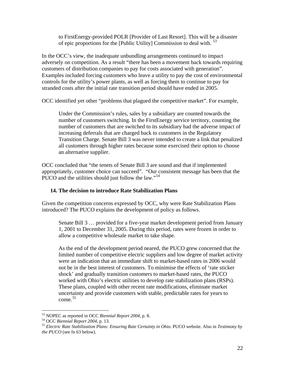to FirstEnergy-provided POLR [Provider of Last Resort]. This will be a disaster of epic proportions for the [Public Utility] Commission to deal with. <sup>[53](#page-22-0)</sup>

In the OCC's view, the inadequate unbundling arrangements continued to impact adversely on competition. As a result "there has been a movement back towards requiring customers of distribution companies to pay for costs associated with generation". Examples included forcing customers who leave a utility to pay the cost of environmental controls for the utility's power plants, as well as forcing them to continue to pay for stranded costs after the initial rate transition period should have ended in 2005.

OCC identified yet other "problems that plagued the competitive market". For example,

Under the Commission's rules, sales by a subsidiary are counted towards the number of customers switching. In the FirstEnergy service territory, counting the number of customers that are switched to its subsidiary had the adverse impact of increasing deferrals that are charged back to customers in the Regulatory Transition Charge. Senate Bill 3 was never intended to create a link that penalized all customers through higher rates because some exercised their option to choose an alternative supplier.

OCC concluded that "the tenets of Senate Bill 3 are sound and that if implemented appropriately, customer choice can succeed". "Our consistent message has been that the PUCO and the utilities should just follow the law."<sup>[54](#page-22-1)</sup>

## **14. The decision to introduce Rate Stabilization Plans**

Given the competition concerns expressed by OCC, why were Rate Stabilization Plans introduced? The PUCO explains the development of policy as follows.

Senate Bill 3 … provided for a five-year market development period from January 1, 2001 to December 31, 2005. During this period, rates were frozen in order to allow a competitive wholesale market to take shape.

As the end of the development period neared, the PUCO grew concerned that the limited number of competitive electric suppliers and low degree of market activity were an indication that an immediate shift to market-based rates in 2006 would not be in the best interest of customers. To minimise the effects of 'rate sticker shock' and gradually transition customers to market-based rates, the PUCO worked with Ohio's electric utilities to develop rate stabilization plans (RSPs). These plans, coupled with other recent rate modifications, eliminate market uncertainty and provide customers with stable, predictable rates for years to come.[55](#page-22-2)

<span id="page-22-0"></span><sup>&</sup>lt;sup>53</sup> NOPEC as reported in OCC Biennial Report 2004, p. 8.

<span id="page-22-2"></span><span id="page-22-1"></span>NOPEC as reported in OCC *Biennial Report 2004*, p. 0.<br><sup>54</sup> OCC *Biennial Report 2004*, p. 13.<br><sup>55</sup> Electric Rate Stabilization Plans: Ensuring Rate Certainty in Ohio. PUCO website. Also in Testimony by *the PUCO* (see fn 63 below).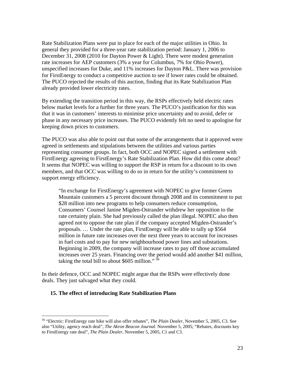Rate Stabilization Plans were put in place for each of the major utilities in Ohio. In general they provided for a three-year rate stabilization period: January 1, 2006 to December 31, 2008 (2010 for Dayton Power & Light). There were modest generation rate increases for AEP customers (3% a year for Columbus, 7% for Ohio Power), unspecified increases for Duke, and 11% increases for Dayton P&L. There was provision for FirstEnergy to conduct a competitive auction to see if lower rates could be obtained. The PUCO rejected the results of this auction, finding that its Rate Stabilization Plan already provided lower electricity rates.

By extending the transition period in this way, the RSPs effectively held electric rates below market levels for a further for three years. The PUCO's justification for this was that it was in customers' interests to minimise price uncertainty and to avoid, defer or phase in any necessary price increases. The PUCO evidently felt no need to apologise for keeping down prices to customers.

The PUCO was also able to point out that some of the arrangements that it approved were agreed in settlements and stipulations between the utilities and various parties representing consumer groups. In fact, both OCC and NOPEC signed a settlement with FirstEnergy agreeing to FirstEnergy's Rate Stabilization Plan. How did this come about? It seems that NOPEC was willing to support the RSP in return for a discount to its own members, and that OCC was willing to do so in return for the utility's commitment to support energy efficiency.

"In exchange for FirstEnergy's agreement with NOPEC to give former Green Mountain customers a 5 percent discount through 2008 and its commitment to put \$28 million into new programs to help consumers reduce consumption, Consumers' Counsel Janine Migden-Ostrander withdrew her opposition to the rate certainty plain. She had previously called the plan illegal. NOPEC also then agreed not to oppose the rate plan if the company accepted Migden-Ostrander's proposals. … Under the rate plan, FirstEnergy will be able to tally up \$564 million in future rate increases over the next three years to account for increases in fuel costs and to pay for new neighbourhood power lines and substations. Beginning in 2009, the company will increase rates to pay off those accumulated increases over 25 years. Financing over the period would add another \$41 million, taking the total bill to about  $$605$  million."  $^{56}$  $^{56}$  $^{56}$ 

In their defence, OCC and NOPEC might argue that the RSPs were effectively done deals. They just salvaged what they could.

#### **15. The effect of introducing Rate Stabilization Plans**

<span id="page-23-0"></span><sup>56 &</sup>quot;Electric: FirstEnergy rate hike will also offer rebates", *The Plain Dealer*, November 5, 2005, C3. See also "Utility, agency reach deal", *The Akron Beacon Journal*. November 5, 2005; "Rebates, discounts key to FirstEnergy rate deal", *The Plain Dealer*, November 5, 2005, C1 and C3.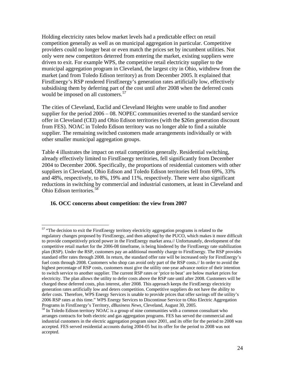Holding electricity rates below market levels had a predictable effect on retail competition generally as well as on municipal aggregation in particular. Competitive providers could no longer beat or even match the prices set by incumbent utilities. Not only were new competitors deterred from entering the market, existing suppliers were driven to exit. For example WPS, the competitive retail electricity supplier to the municipal aggregation program in Cleveland, the largest city in Ohio, withdrew from the market (and from Toledo Edison territory) as from December 2005.It explained that FirstEnergy's RSP rendered FirstEnergy's generation rates artificially low, effectively subsidising them by deferring part of the cost until after 2008 when the deferred costs would be imposed on all customers.<sup>[57](#page-24-0)</sup>

The cities of Cleveland, Euclid and Cleveland Heights were unable to find another supplier for the period 2006 – 08. NOPEC communities reverted to the standard service offer in Cleveland (CEI) and Ohio Edison territories (with the \$26m generation discount from FES). NOAC in Toledo Edison territory was no longer able to find a suitable supplier. The remaining switched customers made arrangements individually or with other smaller municipal aggregation groups.

Table 4 illustrates the impact on retail competition generally. Residential switching, already effectively limited to FirstEnergy territories, fell significantly from December 2004 to December 2006. Specifically, the proportions of residential customers with other suppliers in Cleveland, Ohio Edison and Toledo Edison territories fell from 69%, 33% and 48%, respectively, to 8%, 19% and 11%, respectively. There were also significant reductions in switching by commercial and industrial customers, at least in Cleveland and Ohio Edison territories.[58](#page-24-1)

#### **16. OCC concerns about competition: the view from 2007**

<span id="page-24-0"></span><sup>&</sup>lt;sup>57</sup> "The decision to exit the FirstEnergy territory electricity aggregation programs is related to the regulatory changes proposed by FirstEnergy, and then adopted by the PUCO, which makes it more difficult to provide competitively priced power in the FirstEnergy market area.// Unfortunately, development of the competitive retail market for the 2006-08 timeframe, is being hindered by the FirstEnergy rate stabilization plan (RSP). Under the RSP, customers pay an additional monthly charge to FirstEnergy. The RSP provides standard offer rates through 2008. In return, the standard offer rate will be increased only for FirstEnergy's fuel costs through 2008. Customers who shop can avoid only part of the RSP costs.// In order to avoid the highest percentage of RSP costs, customers must give the utility one-year advance notice of their intention to switch service to another supplier. The current RSP rates or 'price to beat' are below market prices for electricity. The plan allows the utility to defer costs above the RSP rate until after 2008. Customers will be charged these deferred costs, plus interest, after 2008. This approach keeps the FirstEnergy electricity generation rates artificially low and deters competition. Competitive suppliers do not have the ability to defer costs. Therefore, WPS Energy Services is unable to provide prices that offer savings off the utility's 2006 RSP rates at this time." WPS Energy Services to Discontinue Service to Ohio Electric Aggregation Programs in FirstEnergy's Territory, *dBusiness News*, Cleveland, August 30, 2005.<br><sup>58</sup> In Toledo Edison territory NOAC is a group of nine communities with a common consultant who

<span id="page-24-1"></span>arranges contracts for both electric and gas aggregation programs. FES has served the commercial and industrial customers in the electric aggregation program since 2001, and its offer for the period to 2008 was accepted. FES served residential accounts during 2004-05 but its offer for the period to 2008 was not accepted.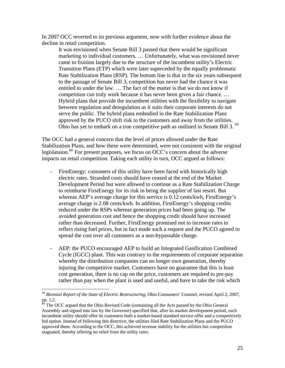In 2007 OCC reverted to its previous argument, now with further evidence about the decline in retail competition.

It was envisioned when Senate Bill 3 passed that there would be significant marketing to individual customers. … Unfortunately, what was envisioned never came to fruition largely due to the structure of the incumbent utility's Electric Transition Plans (ETP) which were later superceded by the equally problematic Rate Stabilization Plans (RSP). The bottom line is that in the six years subsequent to the passage of Senate Bill 3, competition has never had the chance it was entitled to under the law. … The fact of the matter is that we do not know if competition can truly work because it has never been given a fair chance. … Hybrid plans that provide the incumbent utilities with the flexibility to navigate between regulation and deregulation as it suits their corporate interests do not serve the public. The hybrid plans embodied in the Rate Stabilization Plans approved by the PUCO shift risk to the customers and away from the utilities. Ohio has yet to embark on a true competitive path as outlined in Senate Bill 3. [59](#page-25-0)

The OCC had a general concern that the level of prices allowed under the Rate Stabilization Plans, and how these were determined, were not consistent with the original legislataion.<sup>[60](#page-25-1)</sup> For present purposes, we focus on OCC's concern about the adverse impacts on retail competition. Taking each utility in turn, OCC argued as follows:

- FirstEnergy: customers of this utility have been faced with historically high electric rates. Stranded costs should have ceased at the end of the Market Development Period but were allowed to continue as a Rate Stabilization Charge to reimburse FirstEnergy for its risk in being the supplier of last resort. But whereas AEP's average charge for this service is 0.12 cents/kwh, FirstEnergy's average charge is 2.08 cents/kwh. In addition, FirstEnergy's shopping credits reduced under the RSPs whereas generation prices had been going up. The avoided generation cost and hence the shopping credit should have increased rather than decreased. Further, FirstEnergy promised not to increase rates to reflect rising fuel prices, but in fact made such a request and the PUCO agreed to spread the cost over all customers as a non-bypassable charge.
- AEP: the PUCO encouraged AEP to build an Integrated Gasification Combined Cycle (IGCC) plant. This was contrary to the requirements of corporate separation whereby the distribution companies can no longer own generation, thereby injuring the competitive market. Customers have no guarantee that this is least cost generation, there is no cap on the price, customers are required to pre-pay rather than pay when the plant is used and useful, and have to take the risk which

<span id="page-25-0"></span><sup>59</sup> *Biennial Report of the State of Electric Restructuring*, Ohio Consumers' Counsel, revised April 2, 2007, pp. 1,2.

<span id="page-25-1"></span>The OCC argued that the Ohio Revised Code (containing all the Acts passed by the Ohio General Assembly and signed into law by the Governor) specified that, after its market development period, each incumbent utility should offer its customers both a market-based standard service offer and a competitively bid option. Instead of following this directive, the utilities filed Rate Stabilization Plans and the PUCO approved them. According to the OCC, this achieved revenue stability for the utilities but competition stagnated, thereby offering no relief from the utility rates.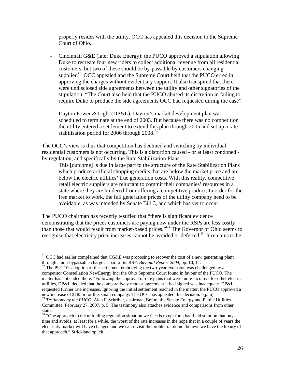properly resides with the utility. OCC has appealed this decision to the Supreme Court of Ohio.

- Cincinnati G&E (later Duke Energy): the PUCO approved a stipulation allowing Duke to recreate four new riders to collect additional revenue from all residential customers, but two of these should be by-passable by customers changing supplier.<sup>[61](#page-26-0)</sup> OCC appealed and the Supreme Court held that the PUCO erred in approving the charges without evidentiary support. It also transpired that there were undisclosed side agreements between the utility and other signatories of the stipulation. "The Court also held that the PUCO abused its discretion in failing to require Duke to produce the side agreements OCC had requested during the case".
- Dayton Power & Light (DP&L): Dayton's market development plan was scheduled to terminate at the end of 2003. But because there was no competition the utility entered a settlement to extend this plan through 2005 and set up a rate stabilisation period for 2006 through 2008.<sup>[62](#page-26-1)</sup>

The OCC's view is thus that competition has declined and switching by individual residential customers is not occurring. This is a distortion caused - or at least condoned by regulation, and specifically by the Rate Stabilization Plans.

This [outcome] is due in large part to the structure of the Rate Stabilization Plans which produce artificial shopping credits that are below the market price and are below the electric utilities' true generation costs. With this reality, competitive retail electric suppliers are reluctant to commit their companies' resources in a state where they are hindered from offering a competitive product. In order for the free market to work, the full generation prices of the utility company need to be avoidable, as was intended by Senate Bill 3, and which has yet to occur.

The PUCO chairman has recently testified that "there is significant evidence demonstrating that the prices customers are paying now under the RSPs are less costly than those that would result from market-based prices."[63](#page-26-2) The Governor of Ohio seems to recognise that electricity price increases cannot be avoided or deferred.<sup>[64](#page-26-3)</sup> It remains to be

<span id="page-26-0"></span> $61$  OCC had earlier complained that CG&E was proposing to recover the cost of a new generating plant through a non-bypassable charge as part of its RSP. *Biennial Report 2004*, pp. 10, 11.<br><sup>62</sup> The PUCO's adoption of the settlement embodying the two-year extension was challenged by a

<span id="page-26-1"></span>competitor Constellation NewEnergy Inc; the Ohio Supreme Court found in favour of the PUCO. The matter has not ended there. "Following the approval of rate plans that were more lucrative for other electric utilities, DP&L decided that the comparatively modest agreement it had signed was inadequate. DP&L requested further rate increases. Ignoring the initial settlement reached in the matter, the PUCO approved a new increase of \$185m for this small company. The OCC has appealed this decision." (p. 6)<br><sup>63</sup> *Testimony by the PUCO*, Alan R Schriber, chairman, Before the Senate Energy and Public Utilities

<span id="page-26-2"></span>Committee, February 27, 2007, p. 5. The testimony also attaches evidence and comparisons from other states.

<span id="page-26-3"></span><sup>&</sup>lt;sup>64</sup> "One approach to the unfolding regulation situation we face is to opt for a band-aid solution that buys time and avoids, at least for a while, the worst of the rate increases in the hope that in a couple of years the electricity market will have changed and we can revisit the problem. I do not believe we have the luxury of that approach." Strickland op. cit.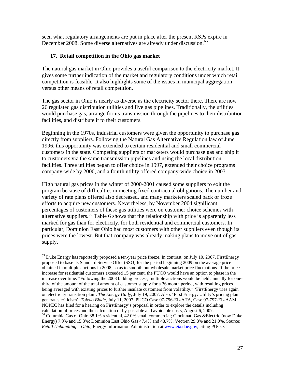seen what regulatory arrangements are put in place after the present RSPs expire in December 2008. Some diverse alternatives are already under discussion.<sup>[65](#page-27-0)</sup>

## **17. Retail competition in the Ohio gas market**

 $\overline{a}$ 

The natural gas market in Ohio provides a useful comparison to the electricity market. It gives some further indication of the market and regulatory conditions under which retail competition is feasible. It also highlights some of the issues in municipal aggregation versus other means of retail competition.

The gas sector in Ohio is nearly as diverse as the electricity sector there. There are now 26 regulated gas distribution utilities and five gas pipelines. Traditionally, the utilities would purchase gas, arrange for its transmission through the pipelines to their distribution facilities, and distribute it to their customers.

Beginning in the 1970s, industrial customers were given the opportunity to purchase gas directly from suppliers. Following the Natural Gas Alternative Regulation law of June 1996, this opportunity was extended to certain residential and small commercial customers in the state. Competing suppliers or marketers would purchase gas and ship it to customers via the same transmission pipelines and using the local distribution facilities. Three utilities began to offer choice in 1997, extended their choice programs company-wide by 2000, and a fourth utility offered company-wide choice in 2003.

High natural gas prices in the winter of 2000-2001 caused some suppliers to exit the program because of difficulties in meeting fixed contractual obligations. The number and variety of rate plans offered also decreased, and many marketers scaled back or froze efforts to acquire new customers. Nevertheless, by November 2004 significant percentages of customers of these gas utilities were on customer choice schemes with alternative suppliers.<sup>[66](#page-27-1)</sup> Table 6 shows that the relationship with price is apparently less marked for gas than for electricity, for both residential and commercial customers. In particular, Dominion East Ohio had most customers with other suppliers even though its prices were the lowest. But that company was already making plans to move out of gas supply.

<span id="page-27-0"></span> $65$  Duke Energy has reportedly proposed a ten-year price freeze. In contrast, on July 10, 2007, FirstEnergy proposed to base its Standard Service Offer (SSO) for the period beginning 2009 on the average price obtained in multiple auctions in 2008, so as to smooth out wholesale market price fluctuations. If the price increase for residential customers exceeded 15 per cent, the PUCO would have an option to phase in the increase over time. "Following the 2008 bidding process, multiple auctions would be held annually for onethird of the amount of the total amount of customer supply for a 36 month period, with resulting prices being averaged with existing prices to further insulate customers from volatility." 'FirstEnergy tries again on electricity transition plan', *The Energy Daily*, July 19, 2007. Also, 'First Energy: Utility's pricing plan generates criticism', *Toledo Blade,* July 11, 2007. PUCO Case 07-796-EL-ATA, Case 07-797-EL-AAM. NOPEC has filed for a hearing on FirstEnergy's proposal in order to explore the details including calculation of prices and the calculation of by-passable and avoidable costs, August 6, 2007.

<span id="page-27-1"></span><sup>66</sup> Columbia Gas of Ohio 38.1% residential, 42.0% small commercial; Cincinnati Gas &Electric (now Duke Energy) 7.9% and 15.8%; Dominion East Ohio Gas 47.4% and 48.7%; Vectren 29.8% and 21.0%. Source: *Retail Unbundling – Ohio*, Energy Information Administration at [www.eia.doe.gov,](http://www.eia.doe.gov/) citing PUCO.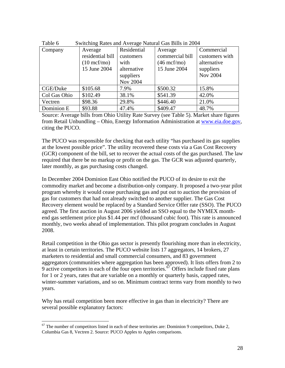| i avit v<br>Switching Rates and Average Ivalural Oas Dins in 2004 |                        |                 |                        |                |  |  |
|-------------------------------------------------------------------|------------------------|-----------------|------------------------|----------------|--|--|
| Company                                                           | Average                | Residential     | Average                | Commercial     |  |  |
|                                                                   | residential bill       | customers       | commercial bill        | customers with |  |  |
|                                                                   | $(10 \text{ mcf/mol})$ | with            | $(46 \text{ mcf/mol})$ | alternative    |  |  |
|                                                                   | 15 June 2004           | alternative     | 15 June 2004           | suppliers      |  |  |
|                                                                   |                        | suppliers       |                        | Nov 2004       |  |  |
|                                                                   |                        | <b>Nov 2004</b> |                        |                |  |  |
| CGE/Duke                                                          | \$105.68               | 7.9%            | \$500.32               | 15.8%          |  |  |
| Col Gas Ohio                                                      | \$102.49               | 38.1%           | \$541.39               | 42.0%          |  |  |
| Vectren                                                           | \$98.36                | 29.8%           | \$446.40               | 21.0%          |  |  |
| Dominion E                                                        | \$93.88                | 47.4%           | \$409.47               | 48.7%          |  |  |

Table 6 Switching Rates and Average Natural Gas Bills in 2004

Source: Average bills from Ohio Utility Rate Survey (see Table 5). Market share figures from Retail Unbundling – Ohio, Energy Information Administration at [www.eia.doe.gov,](http://www.eia.doe.gov/) citing the PUCO.

The PUCO was responsible for checking that each utility "has purchased its gas supplies at the lowest possible price". The utility recovered these costs via a Gas Cost Recovery (GCR) component of the bill, set to recover the actual costs of the gas purchased. The law required that there be no markup or profit on the gas. The GCR was adjusted quarterly, later monthly, as gas purchasing costs changed.

In December 2004 Dominion East Ohio notified the PUCO of its desire to exit the commodity market and become a distribution-only company. It proposed a two-year pilot program whereby it would cease purchasing gas and put out to auction the provision of gas for customers that had not already switched to another supplier. The Gas Cost Recovery element would be replaced by a Standard Service Offer rate (SSO). The PUCO agreed. The first auction in August 2006 yielded an SSO equal to the NYMEX monthend gas settlement price plus \$1.44 per mcf (thousand cubic foot). This rate is announced monthly, two weeks ahead of implementation. This pilot program concludes in August 2008.

Retail competition in the Ohio gas sector is presently flourishing more than in electricity, at least in certain territories. The PUCO website lists 17 aggregators, 14 brokers, 27 marketers to residential and small commercial consumers, and 83 government aggregators (communities where aggregation has been approved). It lists offers from 2 to 9 active competitors in each of the four open territories. $\delta$ <sup>7</sup> Offers include fixed rate plans for 1 or 2 years, rates that are variable on a monthly or quarterly basis, capped rates, winter-summer variations, and so on. Minimum contract terms vary from monthly to two years.

Why has retail competition been more effective in gas than in electricity? There are several possible explanatory factors:

<span id="page-28-0"></span> $67$  The number of competitors listed in each of these territories are: Dominion 9 competitors, Duke 2, Columbia Gas 8, Vectren 2. Source: PUCO Apples to Apples comparisons.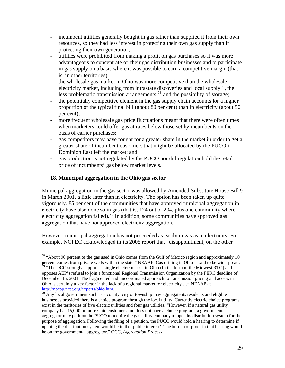- incumbent utilities generally bought in gas rather than supplied it from their own resources, so they had less interest in protecting their own gas supply than in protecting their own generation;
- utilities were prohibited from making a profit on gas purchases so it was more advantageous to concentrate on their gas distribution businesses and to participate in gas supply on a basis where it was possible to earn a competitive margin (that is, in other territories);
- the wholesale gas market in Ohio was more competitive than the wholesale electricity market, including from intrastate discoveries and local supply<sup>[68](#page-29-0)</sup>, the less problematic transmission arrangements, $69$  and the possibility of storage;
- the potentially competitive element in the gas supply chain accounts for a higher proportion of the typical final bill (about 80 per cent) than in electricity (about 50 per cent);
- more frequent wholesale gas price fluctuations meant that there were often times when marketers could offer gas at rates below those set by incumbents on the basis of earlier purchases;
- gas competitors may have fought for a greater share in the market in order to get a greater share of incumbent customers that might be allocated by the PUCO if Dominion East left the market; and
- gas production is not regulated by the PUCO nor did regulation hold the retail price of incumbents' gas below market levels.

# **18. Municipal aggregation in the Ohio gas sector**

 $\overline{a}$ 

Municipal aggregation in the gas sector was allowed by Amended Substitute House Bill 9 in March 2001, a little later than in electricity. The option has been taken up quite vigorously. 85 per cent of the communities that have approved municipal aggregation in electricity have also done so in gas (that is, 174 out of 204, plus one community where electricity aggregation failed).<sup>[70](#page-29-2)</sup> In addition, some communities have approved gas aggregation that have not approved electricity aggregation.

However, municipal aggregation has not proceeded as easily in gas as in electricity. For example, NOPEC acknowledged in its 2005 report that "disappointment, on the other

<span id="page-29-1"></span><span id="page-29-0"></span><sup>&</sup>lt;sup>68</sup> "About 90 percent of the gas used in Ohio comes from the Gulf of Mexico region and approximately 10 percent comes from private wells within the state." NEAAP. Gas drilling in Ohio is said to be widespread.  $\frac{69}{10}$  "The OCC strongly supports a single electric market in Ohio (In the form of the Midwest RTO) and opposes AEP's refusal to join a functional Regional Transmission Organization by the FERC deadline of December 15, 2001. The fragmented and uncoordinated approach to transmission pricing and access in Ohio is certainly a key factor in the lack of a regional market for electricity ..." NEAAP at http://neapp.ncat.org/experts/ohio.htm.

<span id="page-29-2"></span> $\frac{70}{10}$  $\frac{70}{10}$  $\frac{70}{10}$  Any local government such as a county, city or township may aggregate its residents and eligible businesses provided there is a choice program through the local utility. Currently electric choice programs exist in the territories of five electric utilities and four gas utilities. "However, if a natural gas utility company has 15,000 or more Ohio customers and does not have a choice program, a governmental aggregator may petition the PUCO to require the gas utility company to open its distribution system for the purpose of aggregation. Following the filing of a petition, the PUCO would hold a hearing to determine if opening the distribution system would be in the 'public interest'. The burden of proof in that hearing would be on the governmental aggregator." OCC, *Aggregation Process*.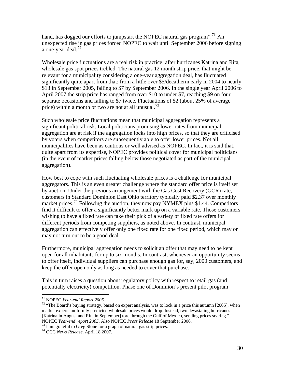hand, has dogged our efforts to jumpstart the NOPEC natural gas program".<sup>[71](#page-30-0)</sup> An unexpected rise in gas prices forced NOPEC to wait until September 2006 before signing a one-year deal.<sup>[72](#page-30-1)</sup>

Wholesale price fluctuations are a real risk in practice: after hurricanes Katrina and Rita, wholesale gas spot prices trebled. The natural gas 12 month strip price, that might be relevant for a municipality considering a one-year aggregation deal, has fluctuated significantly quite apart from that: from a little over \$5/decatherm early in 2004 to nearly \$13 in September 2005, falling to \$7 by September 2006. In the single year April 2006 to April 2007 the strip price has ranged from over \$10 to under \$7, reaching \$9 on four separate occasions and falling to \$7 twice. Fluctuations of \$2 (about 25% of average price) within a month or two are not at all unusual.<sup>[73](#page-30-2)</sup>

Such wholesale price fluctuations mean that municipal aggregation represents a significant political risk. Local politicians promising lower rates from municipal aggregation are at risk if the aggregation locks into high prices, so that they are criticised by voters when competitors are subsequently able to offer lower prices. Not all municipalities have been as cautious or well advised as NOPEC. In fact, it is said that, quite apart from its expertise, NOPEC provides political cover for municipal politicians (in the event of market prices falling below those negotiated as part of the municipal aggregation).

How best to cope with such fluctuating wholesale prices is a challenge for municipal aggregators. This is an even greater challenge where the standard offer price is itself set by auction. Under the previous arrangement with the Gas Cost Recovery (GCR) rate, customers in Standard Dominion East Ohio territory typically paid \$2.37 over monthly market prices.<sup>[74](#page-30-3)</sup> Following the auction, they now pay NYMEX plus \$1.44. Competitors find it difficult to offer a significantly better mark up on a variable rate. Those customers wishing to have a fixed rate can take their pick of a variety of fixed rate offers for different periods from competing suppliers, as noted above. In contrast, municipal aggregation can effectively offer only one fixed rate for one fixed period, which may or may not turn out to be a good deal.

Furthermore, municipal aggregation needs to solicit an offer that may need to be kept open for all inhabitants for up to six months. In contrast, whenever an opportunity seems to offer itself, individual suppliers can purchase enough gas for, say, 2000 customers, and keep the offer open only as long as needed to cover that purchase.

This in turn raises a question about regulatory policy with respect to retail gas (and potentially electricity) competition. Phase one of Dominion's present pilot program

<span id="page-30-0"></span><sup>&</sup>lt;sup>71</sup> NOPEC Year-end Report 2005.

<span id="page-30-1"></span><sup>&</sup>lt;sup>72</sup> "The Board's buying strategy, based on expert analysis, was to lock in a price this autumn [2005], when market experts uniformly predicted wholesale prices would drop. Instead, two devastating hurricanes [Katrina in August and Rita in September] tore through the Gulf of Mexico, sending prices soaring."<br>NOPEC Year-end report 2005. Also NOPEC Press Release 18 September 2006.

<span id="page-30-3"></span><span id="page-30-2"></span><sup>&</sup>lt;sup>73</sup> I am grateful to Greg Slone for a graph of natural gas strip prices.<br><sup>74</sup> OCC *News Release*, April 18 2007.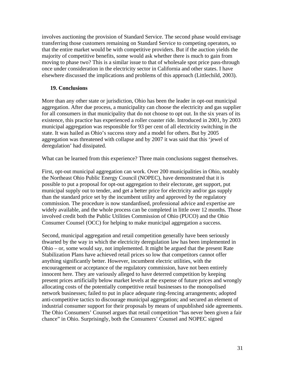involves auctioning the provision of Standard Service. The second phase would envisage transferring those customers remaining on Standard Service to competing operators, so that the entire market would be with competitive providers. But if the auction yields the majority of competitive benefits, some would ask whether there is much to gain from moving to phase two? This is a similar issue to that of wholesale spot price pass-through once under consideration in the electricity sector in California and other states. I have elsewhere discussed the implications and problems of this approach (Littlechild, 2003).

## **19. Conclusions**

More than any other state or jurisdiction, Ohio has been the leader in opt-out municipal aggregation. After due process, a municipality can choose the electricity and gas supplier for all consumers in that municipality that do not choose to opt out. In the six years of its existence, this practice has experienced a roller coaster ride. Introduced in 2001, by 2003 municipal aggregation was responsible for 93 per cent of all electricity switching in the state. It was hailed as Ohio's success story and a model for others. But by 2005 aggregation was threatened with collapse and by 2007 it was said that this 'jewel of deregulation' had dissipated.

What can be learned from this experience? Three main conclusions suggest themselves.

First, opt-out municipal aggregation can work. Over 200 municipalities in Ohio, notably the Northeast Ohio Public Energy Council (NOPEC), have demonstrated that it is possible to put a proposal for opt-out aggregation to their electorate, get support, put municipal supply out to tender, and get a better price for electricity and/or gas supply than the standard price set by the incumbent utility and approved by the regulatory commission. The procedure is now standardised, professional advice and expertise are widely available, and the whole process can be completed in little over 12 months. Those involved credit both the Public Utilities Commission of Ohio (PUCO) and the Ohio Consumer Counsel (OCC) for helping to make municipal aggregation a success.

Second, municipal aggregation and retail competition generally have been seriously thwarted by the way in which the electricity deregulation law has been implemented in Ohio – or, some would say, not implemented. It might be argued that the present Rate Stabilization Plans have achieved retail prices so low that competitors cannot offer anything significantly better. However, incumbent electric utilities, with the encouragement or acceptance of the regulatory commission, have not been entirely innocent here. They are variously alleged to have deterred competition by keeping present prices artificially below market levels at the expense of future prices and wrongly allocating costs of the potentially competitive retail businesses to the monopolised network businesses; failed to put in place adequate ring-fencing arrangements; adopted anti-competitive tactics to discourage municipal aggregation; and secured an element of industrial consumer support for their proposals by means of unpublished side agreements. The Ohio Consumers' Counsel argues that retail competition "has never been given a fair chance" in Ohio. Surprisingly, both the Consumers' Counsel and NOPEC signed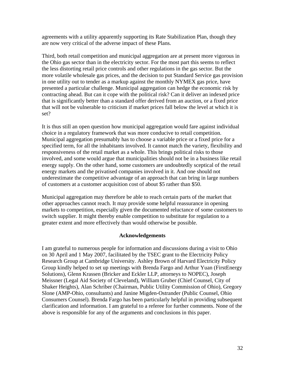agreements with a utility apparently supporting its Rate Stabilization Plan, though they are now very critical of the adverse impact of these Plans.

Third, both retail competition and municipal aggregation are at present more vigorous in the Ohio gas sector than in the electricity sector. For the most part this seems to reflect the less distorting retail price controls and other regulations in the gas sector. But the more volatile wholesale gas prices, and the decision to put Standard Service gas provision in one utility out to tender as a markup against the monthly NYMEX gas price, have presented a particular challenge. Municipal aggregation can hedge the economic risk by contracting ahead. But can it cope with the political risk? Can it deliver an indexed price that is significantly better than a standard offer derived from an auction, or a fixed price that will not be vulnerable to criticism if market prices fall below the level at which it is set?

It is thus still an open question how municipal aggregation would fare against individual choice in a regulatory framework that was more conducive to retail competition. Municipal aggregation presumably has to choose a variable price or a fixed price for a specified term, for all the inhabitants involved. It cannot match the variety, flexibility and responsiveness of the retail market as a whole. This brings political risks to those involved, and some would argue that municipalities should not be in a business like retail energy supply. On the other hand, some customers are undoubtedly sceptical of the retail energy markets and the privatised companies involved in it. And one should not underestimate the competitive advantage of an approach that can bring in large numbers of customers at a customer acquisition cost of about \$5 rather than \$50.

Municipal aggregation may therefore be able to reach certain parts of the market that other approaches cannot reach. It may provide some helpful reassurance in opening markets to competition, especially given the documented reluctance of some customers to switch supplier. It might thereby enable competition to substitute for regulation to a greater extent and more effectively than would otherwise be possible.

#### **Acknowledgements**

I am grateful to numerous people for information and discussions during a visit to Ohio on 30 April and 1 May 2007, facilitated by the TSEC grant to the Electricity Policy Research Group at Cambridge University. Ashley Brown of Harvard Electricity Policy Group kindly helped to set up meetings with Brenda Fargo and Arthur Yuan (FirstEnergy Solutions), Glenn Krassen (Bricker and Eckler LLP, attorneys to NOPEC), Joseph Meissner (Legal Aid Society of Cleveland), William Gruber (Chief Counsel, City of Shaker Heights), Alan Schriber (Chairman, Public Utility Commission of Ohio), Gregory Slone (AMP-Ohio, consultants) and Janine Migden-Ostrander (Public Counsel, Ohio Consumers Counsel). Brenda Fargo has been particularly helpful in providing subsequent clarification and information. I am grateful to a referee for further comments. None of the above is responsible for any of the arguments and conclusions in this paper.